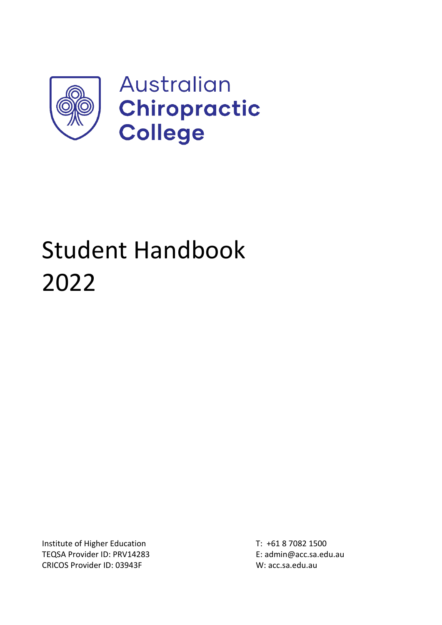

# Student Handbook 2022

Institute of Higher Education T: +61 8 7082 1500 TEQSA Provider ID: PRV14283 E: admin@acc.sa.edu.au CRICOS Provider ID: 03943F W: acc.sa.edu.au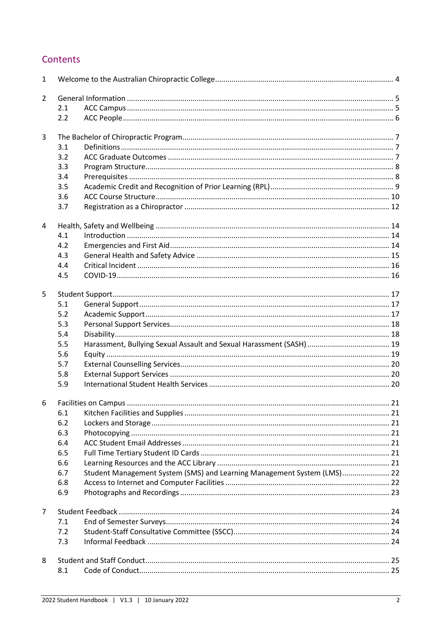# Contents

| $\mathbf{1}$   |     |                                                                         |  |  |
|----------------|-----|-------------------------------------------------------------------------|--|--|
| $\overline{2}$ |     |                                                                         |  |  |
|                | 2.1 |                                                                         |  |  |
|                | 2.2 |                                                                         |  |  |
| 3              |     |                                                                         |  |  |
|                | 3.1 |                                                                         |  |  |
|                | 3.2 |                                                                         |  |  |
|                | 3.3 |                                                                         |  |  |
|                | 3.4 |                                                                         |  |  |
|                | 3.5 |                                                                         |  |  |
|                | 3.6 |                                                                         |  |  |
|                | 3.7 |                                                                         |  |  |
| 4              |     |                                                                         |  |  |
|                | 4.1 |                                                                         |  |  |
|                | 4.2 |                                                                         |  |  |
|                | 4.3 |                                                                         |  |  |
|                | 4.4 |                                                                         |  |  |
|                | 4.5 |                                                                         |  |  |
| 5              |     |                                                                         |  |  |
|                | 5.1 |                                                                         |  |  |
|                | 5.2 |                                                                         |  |  |
|                | 5.3 |                                                                         |  |  |
|                | 5.4 |                                                                         |  |  |
|                | 5.5 |                                                                         |  |  |
|                | 5.6 |                                                                         |  |  |
|                | 5.7 |                                                                         |  |  |
|                | 5.8 |                                                                         |  |  |
|                | 5.9 |                                                                         |  |  |
| 6              |     |                                                                         |  |  |
|                | 6.1 |                                                                         |  |  |
|                | 6.2 |                                                                         |  |  |
|                | 6.3 |                                                                         |  |  |
|                | 6.4 |                                                                         |  |  |
|                | 6.5 |                                                                         |  |  |
|                | 6.6 |                                                                         |  |  |
|                | 6.7 | Student Management System (SMS) and Learning Management System (LMS) 22 |  |  |
|                | 6.8 |                                                                         |  |  |
|                | 6.9 |                                                                         |  |  |
| $\overline{7}$ |     |                                                                         |  |  |
|                | 7.1 |                                                                         |  |  |
|                | 7.2 |                                                                         |  |  |
|                | 7.3 |                                                                         |  |  |
| 8              |     |                                                                         |  |  |
|                | 8.1 |                                                                         |  |  |
|                |     |                                                                         |  |  |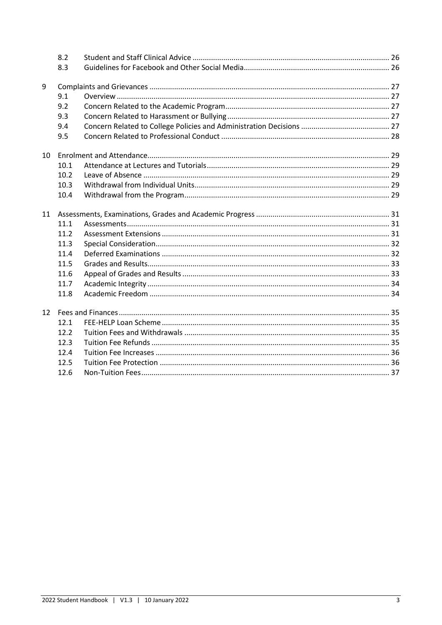|    | 8.2  |  |
|----|------|--|
|    | 8.3  |  |
| 9  |      |  |
|    | 9.1  |  |
|    | 9.2  |  |
|    | 9.3  |  |
|    | 9.4  |  |
|    | 9.5  |  |
| 10 |      |  |
|    | 10.1 |  |
|    | 10.2 |  |
|    | 10.3 |  |
|    | 10.4 |  |
| 11 |      |  |
|    | 11.1 |  |
|    | 11.2 |  |
|    | 11.3 |  |
|    | 11.4 |  |
|    | 11.5 |  |
|    | 11.6 |  |
|    | 11.7 |  |
|    | 11.8 |  |
| 12 |      |  |
|    | 12.1 |  |
|    | 12.2 |  |
|    | 12.3 |  |
|    | 12.4 |  |
|    | 12.5 |  |
|    | 12.6 |  |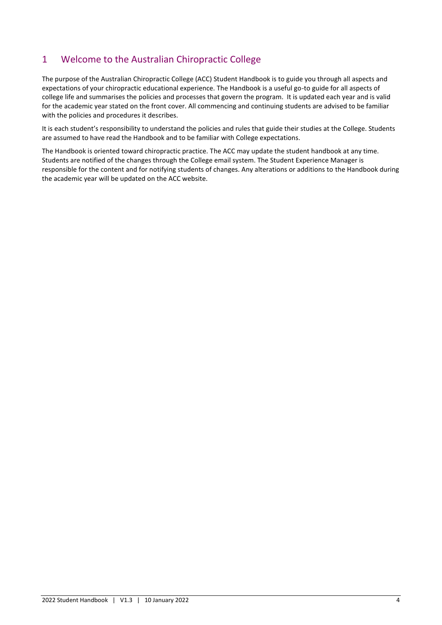# <span id="page-3-0"></span>1 Welcome to the Australian Chiropractic College

The purpose of the Australian Chiropractic College (ACC) Student Handbook is to guide you through all aspects and expectations of your chiropractic educational experience. The Handbook is a useful go-to guide for all aspects of college life and summarises the policies and processes that govern the program. It is updated each year and is valid for the academic year stated on the front cover. All commencing and continuing students are advised to be familiar with the policies and procedures it describes.

It is each student's responsibility to understand the policies and rules that guide their studies at the College. Students are assumed to have read the Handbook and to be familiar with College expectations.

The Handbook is oriented toward chiropractic practice. The ACC may update the student handbook at any time. Students are notified of the changes through the College email system. The Student Experience Manager is responsible for the content and for notifying students of changes. Any alterations or additions to the Handbook during the academic year will be updated on the ACC website.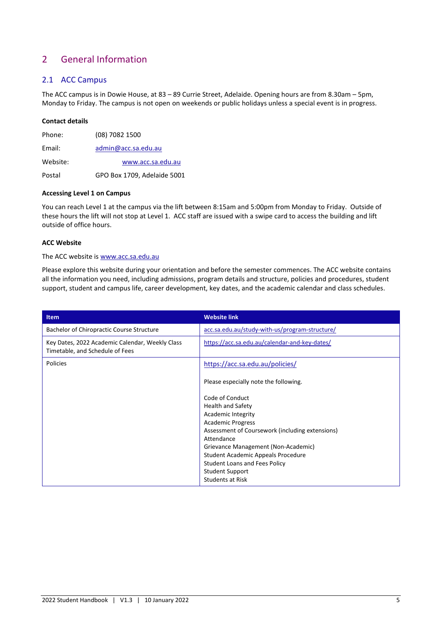# <span id="page-4-0"></span>2 General Information

## <span id="page-4-1"></span>2.1 ACC Campus

The ACC campus is in Dowie House, at 83 – 89 Currie Street, Adelaide. Opening hours are from 8.30am – 5pm, Monday to Friday. The campus is not open on weekends or public holidays unless a special event is in progress.

#### **Contact details**

| Website: | www.acc.sa.edu.au   |
|----------|---------------------|
| Email:   | admin@acc.sa.edu.au |
| Phone:   | (08) 7082 1500      |

Postal GPO Box 1709, Adelaide 5001

#### **Accessing Level 1 on Campus**

You can reach Level 1 at the campus via the lift between 8:15am and 5:00pm from Monday to Friday. Outside of these hours the lift will not stop at Level 1. ACC staff are issued with a swipe card to access the building and lift outside of office hours.

# **ACC Website**

#### The ACC website is [www.acc.sa.edu.au](http://www.acc.sa.edu.au/)

Please explore this website during your orientation and before the semester commences. The ACC website contains all the information you need, including admissions, program details and structure, policies and procedures, student support, student and campus life, career development, key dates, and the academic calendar and class schedules.

| <b>Item</b>                                                                        | <b>Website link</b>                             |
|------------------------------------------------------------------------------------|-------------------------------------------------|
| Bachelor of Chiropractic Course Structure                                          | acc.sa.edu.au/study-with-us/program-structure/  |
| Key Dates, 2022 Academic Calendar, Weekly Class<br>Timetable, and Schedule of Fees | https://acc.sa.edu.au/calendar-and-key-dates/   |
| <b>Policies</b>                                                                    | https://acc.sa.edu.au/policies/                 |
|                                                                                    | Please especially note the following.           |
|                                                                                    | Code of Conduct                                 |
|                                                                                    | <b>Health and Safety</b>                        |
|                                                                                    | <b>Academic Integrity</b>                       |
|                                                                                    | <b>Academic Progress</b>                        |
|                                                                                    | Assessment of Coursework (including extensions) |
|                                                                                    | Attendance                                      |
|                                                                                    | Grievance Management (Non-Academic)             |
|                                                                                    | Student Academic Appeals Procedure              |
|                                                                                    | <b>Student Loans and Fees Policy</b>            |
|                                                                                    | <b>Student Support</b>                          |
|                                                                                    | <b>Students at Risk</b>                         |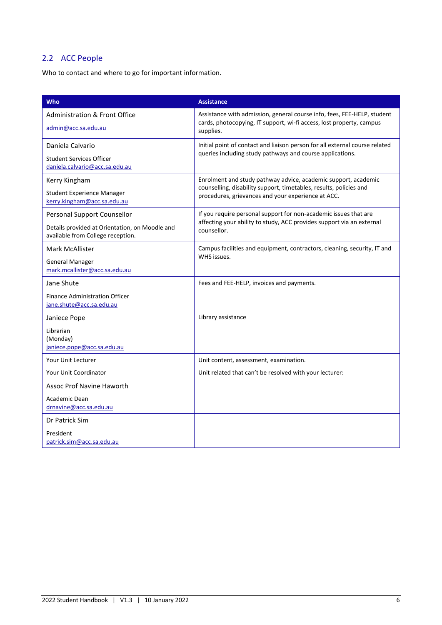# <span id="page-5-0"></span>2.2 ACC People

Who to contact and where to go for important information.

| <b>Who</b>                                                                                                         | <b>Assistance</b>                                                                                                                                                                          |
|--------------------------------------------------------------------------------------------------------------------|--------------------------------------------------------------------------------------------------------------------------------------------------------------------------------------------|
| <b>Administration &amp; Front Office</b><br>admin@acc.sa.edu.au                                                    | Assistance with admission, general course info, fees, FEE-HELP, student<br>cards, photocopying, IT support, wi-fi access, lost property, campus<br>supplies.                               |
| Daniela Calvario<br><b>Student Services Officer</b><br>daniela.calvario@acc.sa.edu.au                              | Initial point of contact and liaison person for all external course related<br>queries including study pathways and course applications.                                                   |
| Kerry Kingham<br><b>Student Experience Manager</b><br>kerry.kingham@acc.sa.edu.au                                  | Enrolment and study pathway advice, academic support, academic<br>counselling, disability support, timetables, results, policies and<br>procedures, grievances and your experience at ACC. |
| Personal Support Counsellor<br>Details provided at Orientation, on Moodle and<br>available from College reception. | If you require personal support for non-academic issues that are<br>affecting your ability to study, ACC provides support via an external<br>counsellor.                                   |
| Mark McAllister<br><b>General Manager</b><br>mark.mcallister@acc.sa.edu.au                                         | Campus facilities and equipment, contractors, cleaning, security, IT and<br>WHS issues.                                                                                                    |
| Jane Shute<br><b>Finance Administration Officer</b><br>jane.shute@acc.sa.edu.au                                    | Fees and FEE-HELP, invoices and payments.                                                                                                                                                  |
| Janiece Pope<br>Librarian<br>(Monday)<br>janiece.pope@acc.sa.edu.au                                                | Library assistance                                                                                                                                                                         |
| Your Unit Lecturer                                                                                                 | Unit content, assessment, examination.                                                                                                                                                     |
| Your Unit Coordinator                                                                                              | Unit related that can't be resolved with your lecturer:                                                                                                                                    |
| <b>Assoc Prof Navine Haworth</b><br>Academic Dean<br>drnavine@acc.sa.edu.au                                        |                                                                                                                                                                                            |
| Dr Patrick Sim<br>President<br>patrick.sim@acc.sa.edu.au                                                           |                                                                                                                                                                                            |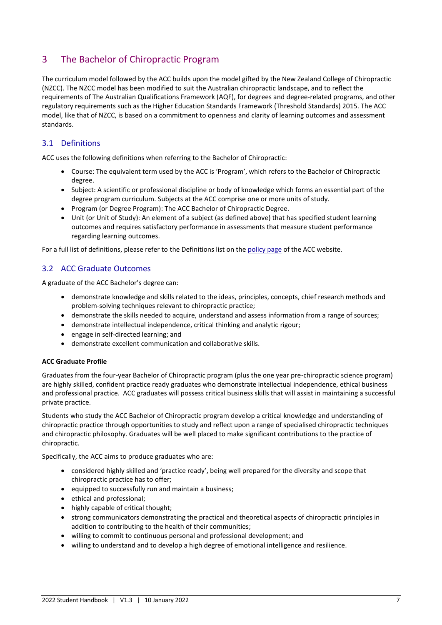# <span id="page-6-0"></span>3 The Bachelor of Chiropractic Program

The curriculum model followed by the ACC builds upon the model gifted by the New Zealand College of Chiropractic (NZCC). The NZCC model has been modified to suit the Australian chiropractic landscape, and to reflect the requirements of The Australian Qualifications Framework (AQF), for degrees and degree-related programs, and other regulatory requirements such as the Higher Education Standards Framework (Threshold Standards) 2015. The ACC model, like that of NZCC, is based on a commitment to openness and clarity of learning outcomes and assessment standards.

# <span id="page-6-1"></span>3.1 Definitions

ACC uses the following definitions when referring to the Bachelor of Chiropractic:

- Course: The equivalent term used by the ACC is 'Program', which refers to the Bachelor of Chiropractic degree.
- Subject: A scientific or professional discipline or body of knowledge which forms an essential part of the degree program curriculum. Subjects at the ACC comprise one or more units of study.
- Program (or Degree Program): The ACC Bachelor of Chiropractic Degree.
- Unit (or Unit of Study): An element of a subject (as defined above) that has specified student learning outcomes and requires satisfactory performance in assessments that measure student performance regarding learning outcomes.

For a full list of definitions, please refer to the Definitions list on th[e policy page](https://acc.sa.edu.au/policies/) of the ACC website.

# <span id="page-6-2"></span>3.2 ACC Graduate Outcomes

A graduate of the ACC Bachelor's degree can:

- demonstrate knowledge and skills related to the ideas, principles, concepts, chief research methods and problem-solving techniques relevant to chiropractic practice;
- demonstrate the skills needed to acquire, understand and assess information from a range of sources;
- demonstrate intellectual independence, critical thinking and analytic rigour;
- engage in self-directed learning; and
- demonstrate excellent communication and collaborative skills.

#### **ACC Graduate Profile**

Graduates from the four-year Bachelor of Chiropractic program (plus the one year pre-chiropractic science program) are highly skilled, confident practice ready graduates who demonstrate intellectual independence, ethical business and professional practice. ACC graduates will possess critical business skills that will assist in maintaining a successful private practice.

Students who study the ACC Bachelor of Chiropractic program develop a critical knowledge and understanding of chiropractic practice through opportunities to study and reflect upon a range of specialised chiropractic techniques and chiropractic philosophy. Graduates will be well placed to make significant contributions to the practice of chiropractic.

Specifically, the ACC aims to produce graduates who are:

- considered highly skilled and 'practice ready', being well prepared for the diversity and scope that chiropractic practice has to offer;
- equipped to successfully run and maintain a business;
- ethical and professional;
- highly capable of critical thought;
- strong communicators demonstrating the practical and theoretical aspects of chiropractic principles in addition to contributing to the health of their communities;
- willing to commit to continuous personal and professional development; and
- willing to understand and to develop a high degree of emotional intelligence and resilience.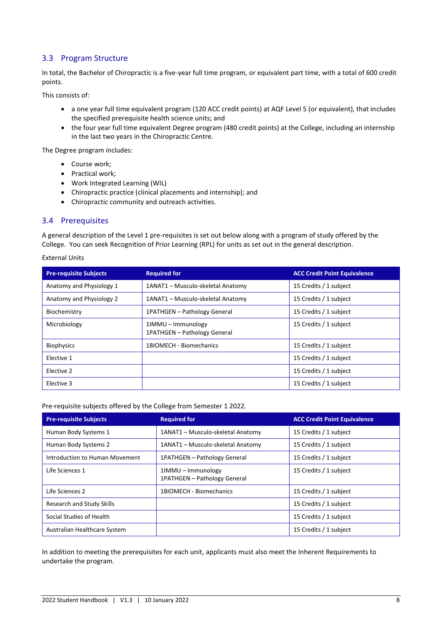# <span id="page-7-0"></span>3.3 Program Structure

In total, the Bachelor of Chiropractic is a five-year full time program, or equivalent part time, with a total of 600 credit points.

This consists of:

- a one year full time equivalent program (120 ACC credit points) at AQF Level 5 (or equivalent), that includes the specified prerequisite health science units; and
- the four year full time equivalent Degree program (480 credit points) at the College, including an internship in the last two years in the Chiropractic Centre.

The Degree program includes:

- Course work;
- Practical work;
- Work Integrated Learning (WIL)
- Chiropractic practice (clinical placements and internship); and
- Chiropractic community and outreach activities.

## <span id="page-7-1"></span>3.4 Prerequisites

A general description of the Level 1 pre-requisites is set out below along with a program of study offered by the College. You can seek Recognition of Prior Learning (RPL) for units as set out in the general description.

#### External Units

| <b>Pre-requisite Subjects</b> | <b>Required for</b>                                | <b>ACC Credit Point Equivalence</b> |
|-------------------------------|----------------------------------------------------|-------------------------------------|
| Anatomy and Physiology 1      | 1ANAT1 - Musculo-skeletal Anatomy                  | 15 Credits / 1 subject              |
| Anatomy and Physiology 2      | 1ANAT1 - Musculo-skeletal Anatomy                  | 15 Credits / 1 subject              |
| Biochemistry                  | 1PATHGEN - Pathology General                       | 15 Credits / 1 subject              |
| Microbiology                  | 1IMMU - Immunology<br>1PATHGEN - Pathology General | 15 Credits / 1 subject              |
| <b>Biophysics</b>             | 1BIOMECH - Biomechanics                            | 15 Credits / 1 subject              |
| Elective 1                    |                                                    | 15 Credits / 1 subject              |
| Elective 2                    |                                                    | 15 Credits / 1 subject              |
| Elective 3                    |                                                    | 15 Credits / 1 subject              |

Pre-requisite subjects offered by the College from Semester 1 2022.

| <b>Pre-requisite Subjects</b>    | <b>Required for</b>                                | <b>ACC Credit Point Equivalence</b> |
|----------------------------------|----------------------------------------------------|-------------------------------------|
| Human Body Systems 1             | 1ANAT1 - Musculo-skeletal Anatomy                  | 15 Credits / 1 subject              |
| Human Body Systems 2             | 1ANAT1 - Musculo-skeletal Anatomy                  | 15 Credits / 1 subject              |
| Introduction to Human Movement   | 1PATHGEN - Pathology General                       | 15 Credits / 1 subject              |
| Life Sciences 1                  | 1IMMU – Immunology<br>1PATHGEN - Pathology General | 15 Credits / 1 subject              |
| Life Sciences 2                  | 1BIOMECH - Biomechanics                            | 15 Credits / 1 subject              |
| <b>Research and Study Skills</b> |                                                    | 15 Credits / 1 subject              |
| Social Studies of Health         |                                                    | 15 Credits / 1 subject              |
| Australian Healthcare System     |                                                    | 15 Credits / 1 subject              |

In addition to meeting the prerequisites for each unit, applicants must also meet the Inherent Requirements to undertake the program.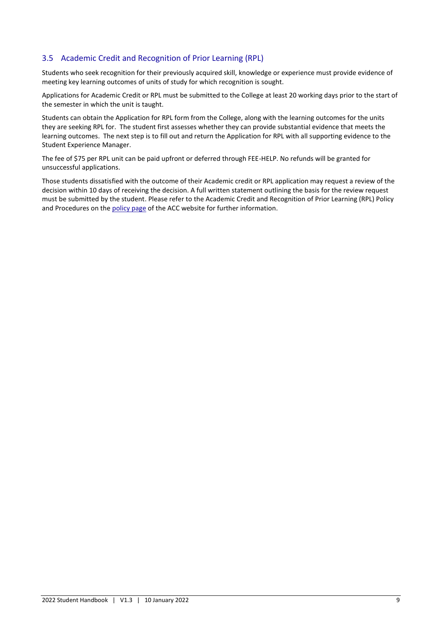# <span id="page-8-0"></span>3.5 Academic Credit and Recognition of Prior Learning (RPL)

Students who seek recognition for their previously acquired skill, knowledge or experience must provide evidence of meeting key learning outcomes of units of study for which recognition is sought.

Applications for Academic Credit or RPL must be submitted to the College at least 20 working days prior to the start of the semester in which the unit is taught.

Students can obtain the Application for RPL form from the College, along with the learning outcomes for the units they are seeking RPL for. The student first assesses whether they can provide substantial evidence that meets the learning outcomes. The next step is to fill out and return the Application for RPL with all supporting evidence to the Student Experience Manager.

The fee of \$75 per RPL unit can be paid upfront or deferred through FEE-HELP. No refunds will be granted for unsuccessful applications.

Those students dissatisfied with the outcome of their Academic credit or RPL application may request a review of the decision within 10 days of receiving the decision. A full written statement outlining the basis for the review request must be submitted by the student. Please refer to the Academic Credit and Recognition of Prior Learning (RPL) Policy and Procedures on the [policy page](https://acc.sa.edu.au/policies/) of the ACC website for further information.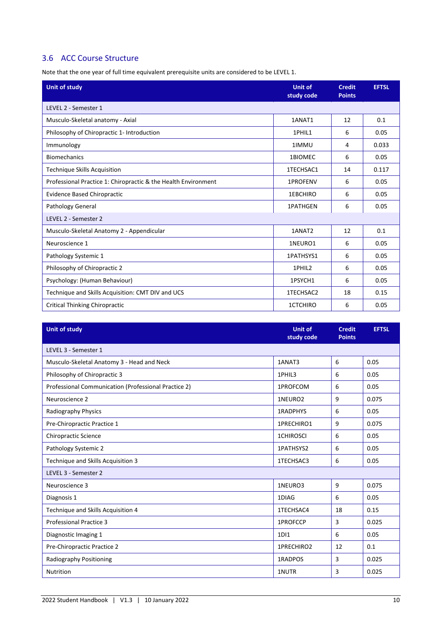# <span id="page-9-0"></span>3.6 ACC Course Structure

Note that the one year of full time equivalent prerequisite units are considered to be LEVEL 1.

| <b>Unit of study</b>                                           | <b>Unit of</b><br>study code | <b>Credit</b><br><b>Points</b> | <b>EFTSL</b> |
|----------------------------------------------------------------|------------------------------|--------------------------------|--------------|
| LEVEL 2 - Semester 1                                           |                              |                                |              |
| Musculo-Skeletal anatomy - Axial                               | 1ANAT1                       | 12                             | 0.1          |
| Philosophy of Chiropractic 1- Introduction                     | 1PHIL1                       | 6                              | 0.05         |
| Immunology                                                     | 1IMMU                        | 4                              | 0.033        |
| <b>Biomechanics</b>                                            | 1BIOMEC                      | 6                              | 0.05         |
| <b>Technique Skills Acquisition</b>                            | 1TECHSAC1                    | 14                             | 0.117        |
| Professional Practice 1: Chiropractic & the Health Environment | 1PROFENV                     | 6                              | 0.05         |
| <b>Evidence Based Chiropractic</b>                             | 1EBCHIRO                     | 6                              | 0.05         |
| Pathology General                                              | <b>1PATHGEN</b>              | 6                              | 0.05         |
| LEVEL 2 - Semester 2                                           |                              |                                |              |
| Musculo-Skeletal Anatomy 2 - Appendicular                      | 1ANAT2                       | 12                             | 0.1          |
| Neuroscience 1                                                 | 1NEURO1                      | 6                              | 0.05         |
| Pathology Systemic 1                                           | 1PATHSYS1                    | 6                              | 0.05         |
| Philosophy of Chiropractic 2                                   | 1PHIL2                       | 6                              | 0.05         |
| Psychology: (Human Behaviour)                                  | 1PSYCH1                      | 6                              | 0.05         |
| Technique and Skills Acquisition: CMT DIV and UCS              | 1TECHSAC2                    | 18                             | 0.15         |
| <b>Critical Thinking Chiropractic</b>                          | 1CTCHIRO                     | 6                              | 0.05         |

| <b>Unit of study</b>                                 | <b>Unit of</b><br>study code | <b>Credit</b><br><b>Points</b> | <b>EFTSL</b> |
|------------------------------------------------------|------------------------------|--------------------------------|--------------|
| LEVEL 3 - Semester 1                                 |                              |                                |              |
| Musculo-Skeletal Anatomy 3 - Head and Neck           | 1ANAT3                       | 6                              | 0.05         |
| Philosophy of Chiropractic 3                         | 1PHIL3                       | 6                              | 0.05         |
| Professional Communication (Professional Practice 2) | 1PROFCOM                     | 6                              | 0.05         |
| Neuroscience 2                                       | 1NEURO2                      | 9                              | 0.075        |
| Radiography Physics                                  | <b>1RADPHYS</b>              | 6                              | 0.05         |
| Pre-Chiropractic Practice 1                          | 1PRECHIRO1                   | 9                              | 0.075        |
| <b>Chiropractic Science</b>                          | <b>1CHIROSCI</b>             | 6                              | 0.05         |
| Pathology Systemic 2                                 | 1PATHSYS2                    | 6                              | 0.05         |
| Technique and Skills Acquisition 3                   | 1TECHSAC3                    | 6                              | 0.05         |
| LEVEL 3 - Semester 2                                 |                              |                                |              |
| Neuroscience 3                                       | 1NEURO3                      | 9                              | 0.075        |
| Diagnosis 1                                          | 1DIAG                        | 6                              | 0.05         |
| Technique and Skills Acquisition 4                   | 1TECHSAC4                    | 18                             | 0.15         |
| <b>Professional Practice 3</b>                       | 1PROFCCP                     | 3                              | 0.025        |
| Diagnostic Imaging 1                                 | 1D <sub>1</sub>              | 6                              | 0.05         |
| Pre-Chiropractic Practice 2                          | 1PRECHIRO2                   | 12                             | 0.1          |
| Radiography Positioning                              | 1RADPOS                      | 3                              | 0.025        |
| <b>Nutrition</b>                                     | 1NUTR                        | 3                              | 0.025        |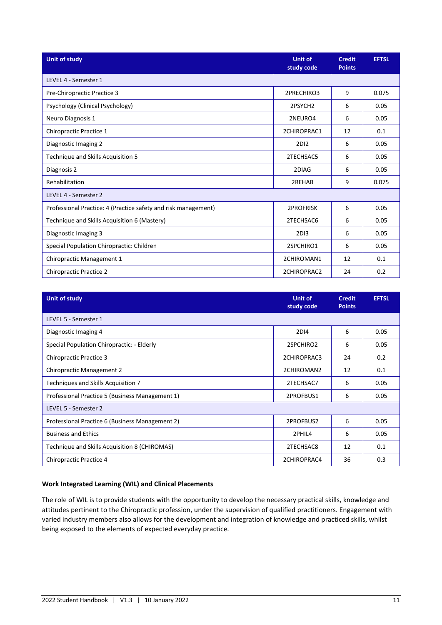| <b>Unit of study</b>                                           | <b>Unit of</b><br>study code | <b>Credit</b><br><b>Points</b> | <b>EFTSL</b> |  |
|----------------------------------------------------------------|------------------------------|--------------------------------|--------------|--|
| LEVEL 4 - Semester 1                                           |                              |                                |              |  |
| Pre-Chiropractic Practice 3                                    | 2PRECHIRO3                   | 9                              | 0.075        |  |
| Psychology (Clinical Psychology)                               | 2PSYCH <sub>2</sub>          | 6                              | 0.05         |  |
| Neuro Diagnosis 1                                              | 2NEURO4                      | 6                              | 0.05         |  |
| Chiropractic Practice 1                                        | 2CHIROPRAC1                  | 12                             | 0.1          |  |
| Diagnostic Imaging 2                                           | 2D <sub>12</sub>             | 6                              | 0.05         |  |
| Technique and Skills Acquisition 5                             | 2TECHSAC5                    | 6                              | 0.05         |  |
| Diagnosis 2                                                    | 2DIAG                        | 6                              | 0.05         |  |
| Rehabilitation                                                 | 2REHAB                       | 9                              | 0.075        |  |
| LEVEL 4 - Semester 2                                           |                              |                                |              |  |
| Professional Practice: 4 (Practice safety and risk management) | <b>2PROFRISK</b>             | 6                              | 0.05         |  |
| Technique and Skills Acquisition 6 (Mastery)                   | 2TECHSAC6                    | 6                              | 0.05         |  |
| Diagnostic Imaging 3                                           | 2D <sub>13</sub>             | 6                              | 0.05         |  |
| Special Population Chiropractic: Children                      | 2SPCHIRO1                    | 6                              | 0.05         |  |
| Chiropractic Management 1                                      | 2CHIROMAN1                   | 12                             | 0.1          |  |
| <b>Chiropractic Practice 2</b>                                 | 2CHIROPRAC2                  | 24                             | 0.2          |  |

| <b>Unit of study</b>                            | <b>Unit of</b><br>study code | <b>Credit</b><br><b>Points</b> | <b>EFTSL</b> |
|-------------------------------------------------|------------------------------|--------------------------------|--------------|
| LEVEL 5 - Semester 1                            |                              |                                |              |
| Diagnostic Imaging 4                            | 2D <sub>14</sub>             | 6                              | 0.05         |
| Special Population Chiropractic: - Elderly      | 2SPCHIRO2                    | 6                              | 0.05         |
| <b>Chiropractic Practice 3</b>                  | 2CHIROPRAC3                  | 24                             | 0.2          |
| <b>Chiropractic Management 2</b>                | 2CHIROMAN2                   | 12                             | 0.1          |
| Techniques and Skills Acquisition 7             | 2TECHSAC7                    | 6                              | 0.05         |
| Professional Practice 5 (Business Management 1) | 2PROFBUS1                    | 6                              | 0.05         |
| LEVEL 5 - Semester 2                            |                              |                                |              |
| Professional Practice 6 (Business Management 2) | 2PROFBUS2                    | 6                              | 0.05         |
| <b>Business and Ethics</b>                      | 2PHIL4                       | 6                              | 0.05         |
| Technique and Skills Acquisition 8 (CHIROMAS)   | 2TECHSAC8                    | 12                             | 0.1          |
| Chiropractic Practice 4                         | 2CHIROPRAC4                  | 36                             | 0.3          |

#### **Work Integrated Learning (WIL) and Clinical Placements**

The role of WIL is to provide students with the opportunity to develop the necessary practical skills, knowledge and attitudes pertinent to the Chiropractic profession, under the supervision of qualified practitioners. Engagement with varied industry members also allows for the development and integration of knowledge and practiced skills, whilst being exposed to the elements of expected everyday practice.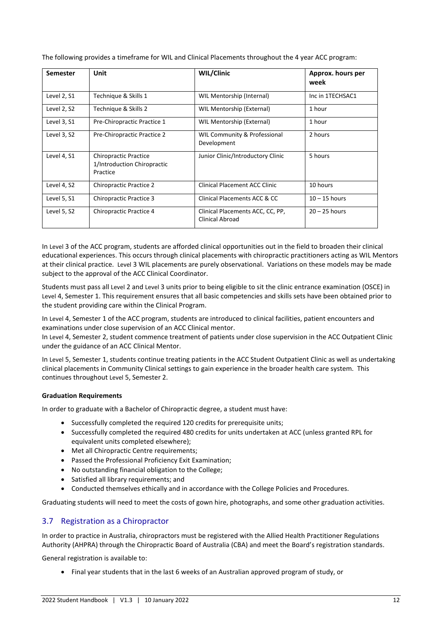The following provides a timeframe for WIL and Clinical Placements throughout the 4 year ACC program:

| <b>Semester</b> | Unit                                                                    | WIL/Clinic                                          | Approx. hours per<br>week |
|-----------------|-------------------------------------------------------------------------|-----------------------------------------------------|---------------------------|
| Level 2, S1     | Technique & Skills 1                                                    | WIL Mentorship (Internal)                           | Inc in 1TECHSAC1          |
| Level 2, S2     | Technique & Skills 2                                                    | WIL Mentorship (External)                           | 1 hour                    |
| Level 3, S1     | Pre-Chiropractic Practice 1                                             | WIL Mentorship (External)                           | 1 hour                    |
| Level 3, S2     | Pre-Chiropractic Practice 2                                             | WIL Community & Professional<br>Development         | 2 hours                   |
| Level 4, S1     | <b>Chiropractic Practice</b><br>1/Introduction Chiropractic<br>Practice | Junior Clinic/Introductory Clinic                   | 5 hours                   |
| Level 4, S2     | <b>Chiropractic Practice 2</b>                                          | <b>Clinical Placement ACC Clinic</b>                | 10 hours                  |
| Level 5, S1     | Chiropractic Practice 3                                                 | Clinical Placements ACC & CC                        | $10 - 15$ hours           |
| Level 5, S2     | Chiropractic Practice 4                                                 | Clinical Placements ACC, CC, PP,<br>Clinical Abroad | $20 - 25$ hours           |

In Level 3 of the ACC program, students are afforded clinical opportunities out in the field to broaden their clinical educational experiences. This occurs through clinical placements with chiropractic practitioners acting as WIL Mentors at their clinical practice. Level 3 WIL placements are purely observational. Variations on these models may be made subject to the approval of the ACC Clinical Coordinator.

Students must pass all Level 2 and Level 3 units prior to being eligible to sit the clinic entrance examination (OSCE) in Level 4, Semester 1. This requirement ensures that all basic competencies and skills sets have been obtained prior to the student providing care within the Clinical Program.

In Level 4, Semester 1 of the ACC program, students are introduced to clinical facilities, patient encounters and examinations under close supervision of an ACC Clinical mentor.

In Level 4, Semester 2, student commence treatment of patients under close supervision in the ACC Outpatient Clinic under the guidance of an ACC Clinical Mentor.

In Level 5, Semester 1, students continue treating patients in the ACC Student Outpatient Clinic as well as undertaking clinical placements in Community Clinical settings to gain experience in the broader health care system. This continues throughout Level 5, Semester 2.

#### **Graduation Requirements**

In order to graduate with a Bachelor of Chiropractic degree, a student must have:

- Successfully completed the required 120 credits for prerequisite units;
- Successfully completed the required 480 credits for units undertaken at ACC (unless granted RPL for equivalent units completed elsewhere);
- Met all Chiropractic Centre requirements;
- Passed the Professional Proficiency Exit Examination;
- No outstanding financial obligation to the College;
- Satisfied all library requirements; and
- Conducted themselves ethically and in accordance with the College Policies and Procedures.

Graduating students will need to meet the costs of gown hire, photographs, and some other graduation activities.

# <span id="page-11-0"></span>3.7 Registration as a Chiropractor

In order to practice in Australia, chiropractors must be registered with the Allied Health Practitioner Regulations Authority (AHPRA) through the Chiropractic Board of Australia (CBA) and meet the Board's registration standards.

General registration is available to:

• Final year students that in the last 6 weeks of an Australian approved program of study, or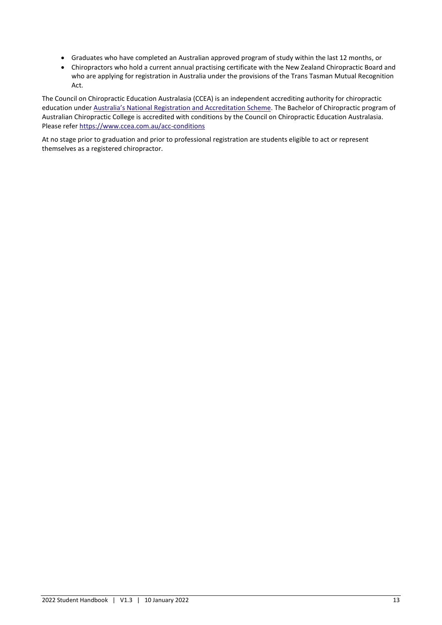- Graduates who have completed an Australian approved program of study within the last 12 months, or
- Chiropractors who hold a current annual practising certificate with the New Zealand Chiropractic Board and who are applying for registration in Australia under the provisions of the Trans Tasman Mutual Recognition Act.

The Council on Chiropractic Education Australasia (CCEA) is an independent accrediting authority for chiropractic education under [Australia's National Registration and Accreditation Scheme](https://www.health.gov.au/initiatives-and-programs/national-registration-and-accreditation-scheme). The Bachelor of Chiropractic program of Australian Chiropractic College is accredited with conditions by the Council on Chiropractic Education Australasia. Please refer<https://www.ccea.com.au/acc-conditions>

At no stage prior to graduation and prior to professional registration are students eligible to act or represent themselves as a registered chiropractor.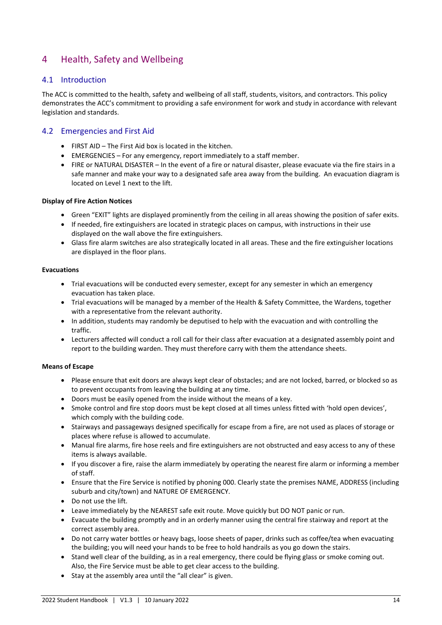# <span id="page-13-0"></span>4 Health, Safety and Wellbeing

## <span id="page-13-1"></span>4.1 Introduction

The ACC is committed to the health, safety and wellbeing of all staff, students, visitors, and contractors. This policy demonstrates the ACC's commitment to providing a safe environment for work and study in accordance with relevant legislation and standards.

## <span id="page-13-2"></span>4.2 Emergencies and First Aid

- FIRST AID The First Aid box is located in the kitchen.
- EMERGENCIES For any emergency, report immediately to a staff member.
- FIRE or NATURAL DISASTER In the event of a fire or natural disaster, please evacuate via the fire stairs in a safe manner and make your way to a designated safe area away from the building. An evacuation diagram is located on Level 1 next to the lift.

#### **Display of Fire Action Notices**

- Green "EXIT" lights are displayed prominently from the ceiling in all areas showing the position of safer exits.
- If needed, fire extinguishers are located in strategic places on campus, with instructions in their use displayed on the wall above the fire extinguishers.
- Glass fire alarm switches are also strategically located in all areas. These and the fire extinguisher locations are displayed in the floor plans.

#### **Evacuations**

- Trial evacuations will be conducted every semester, except for any semester in which an emergency evacuation has taken place.
- Trial evacuations will be managed by a member of the Health & Safety Committee, the Wardens, together with a representative from the relevant authority.
- In addition, students may randomly be deputised to help with the evacuation and with controlling the traffic.
- Lecturers affected will conduct a roll call for their class after evacuation at a designated assembly point and report to the building warden. They must therefore carry with them the attendance sheets.

#### **Means of Escape**

- Please ensure that exit doors are always kept clear of obstacles; and are not locked, barred, or blocked so as to prevent occupants from leaving the building at any time.
- Doors must be easily opened from the inside without the means of a key.
- Smoke control and fire stop doors must be kept closed at all times unless fitted with 'hold open devices', which comply with the building code.
- Stairways and passageways designed specifically for escape from a fire, are not used as places of storage or places where refuse is allowed to accumulate.
- Manual fire alarms, fire hose reels and fire extinguishers are not obstructed and easy access to any of these items is always available.
- If you discover a fire, raise the alarm immediately by operating the nearest fire alarm or informing a member of staff.
- Ensure that the Fire Service is notified by phoning 000. Clearly state the premises NAME, ADDRESS (including suburb and city/town) and NATURE OF EMERGENCY.
- Do not use the lift.
- Leave immediately by the NEAREST safe exit route. Move quickly but DO NOT panic or run.
- Evacuate the building promptly and in an orderly manner using the central fire stairway and report at the correct assembly area.
- Do not carry water bottles or heavy bags, loose sheets of paper, drinks such as coffee/tea when evacuating the building; you will need your hands to be free to hold handrails as you go down the stairs.
- Stand well clear of the building, as in a real emergency, there could be flying glass or smoke coming out. Also, the Fire Service must be able to get clear access to the building.
- Stay at the assembly area until the "all clear" is given.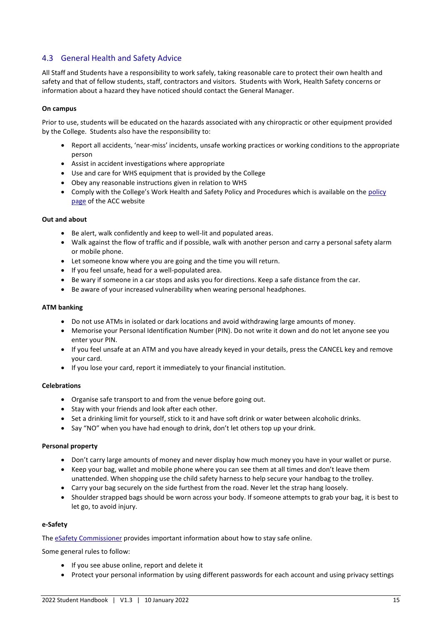# <span id="page-14-0"></span>4.3 General Health and Safety Advice

All Staff and Students have a responsibility to work safely, taking reasonable care to protect their own health and safety and that of fellow students, staff, contractors and visitors. Students with Work, Health Safety concerns or information about a hazard they have noticed should contact the General Manager.

#### **On campus**

Prior to use, students will be educated on the hazards associated with any chiropractic or other equipment provided by the College. Students also have the responsibility to:

- Report all accidents, 'near-miss' incidents, unsafe working practices or working conditions to the appropriate person
- Assist in accident investigations where appropriate
- Use and care for WHS equipment that is provided by the College
- Obey any reasonable instructions given in relation to WHS
- Comply with the College's Work Health and Safety Policy and Procedures which is available on the [policy](https://acc.sa.edu.au/policies/)  [page](https://acc.sa.edu.au/policies/) of the ACC website

#### **Out and about**

- Be alert, walk confidently and keep to well-lit and populated areas.
- Walk against the flow of traffic and if possible, walk with another person and carry a personal safety alarm or mobile phone.
- Let someone know where you are going and the time you will return.
- If you feel unsafe, head for a well-populated area.
- Be wary if someone in a car stops and asks you for directions. Keep a safe distance from the car.
- Be aware of your increased vulnerability when wearing personal headphones.

#### **ATM banking**

- Do not use ATMs in isolated or dark locations and avoid withdrawing large amounts of money.
- Memorise your Personal Identification Number (PIN). Do not write it down and do not let anyone see you enter your PIN.
- If you feel unsafe at an ATM and you have already keyed in your details, press the CANCEL key and remove your card.
- If you lose your card, report it immediately to your financial institution.

#### **Celebrations**

- Organise safe transport to and from the venue before going out.
- Stay with your friends and look after each other.
- Set a drinking limit for yourself, stick to it and have soft drink or water between alcoholic drinks.
- Say "NO" when you have had enough to drink, don't let others top up your drink.

#### **Personal property**

- Don't carry large amounts of money and never display how much money you have in your wallet or purse.
- Keep your bag, wallet and mobile phone where you can see them at all times and don't leave them unattended. When shopping use the child safety harness to help secure your handbag to the trolley.
- Carry your bag securely on the side furthest from the road. Never let the strap hang loosely.
- Shoulder strapped bags should be worn across your body. If someone attempts to grab your bag, it is best to let go, to avoid injury.

#### **e-Safety**

The [eSafety Commissioner](https://www.esafety.gov.au/) provides important information about how to stay safe online.

Some general rules to follow:

- If you see abuse online, report and delete it
- Protect your personal information by using different passwords for each account and using privacy settings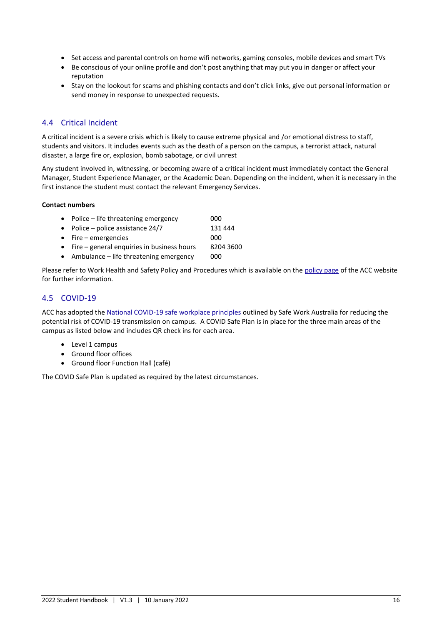- Set access and parental controls on home wifi networks, gaming consoles, mobile devices and smart TVs
- Be conscious of your online profile and don't post anything that may put you in danger or affect your reputation
- Stay on the lookout for scams and phishing contacts and don't click links, give out personal information or send money in response to unexpected requests.

# <span id="page-15-0"></span>4.4 Critical Incident

A critical incident is a severe crisis which is likely to cause extreme physical and /or emotional distress to staff, students and visitors. It includes events such as the death of a person on the campus, a terrorist attack, natural disaster, a large fire or, explosion, bomb sabotage, or civil unrest

Any student involved in, witnessing, or becoming aware of a critical incident must immediately contact the General Manager, Student Experience Manager, or the Academic Dean. Depending on the incident, when it is necessary in the first instance the student must contact the relevant Emergency Services.

#### **Contact numbers**

| 000                                                                                                                                                                    |
|------------------------------------------------------------------------------------------------------------------------------------------------------------------------|
| 131 444                                                                                                                                                                |
| 000                                                                                                                                                                    |
| 8204 3600                                                                                                                                                              |
| • Police $-$ life threatening emergency<br>• Police – police assistance $24/7$<br>$\bullet$ Fire – emergencies<br>$\bullet$ Fire – general enguiries in business hours |

• Ambulance – life threatening emergency 000

Please refer to Work Health and Safety Policy and Procedures which is available on th[e policy page](https://acc.sa.edu.au/policies/) of the ACC website for further information.

# <span id="page-15-1"></span>4.5 COVID-19

ACC has adopted the [National COVID-19 safe workplace principles](https://www.safeworkaustralia.gov.au/covid-19-information-workplaces/other-resources/national-covid-19-safe-workplace-principles) outlined by Safe Work Australia for reducing the potential risk of COVID-19 transmission on campus. A COVID Safe Plan is in place for the three main areas of the campus as listed below and includes QR check ins for each area.

- Level 1 campus
- Ground floor offices
- Ground floor Function Hall (café)

The COVID Safe Plan is updated as required by the latest circumstances.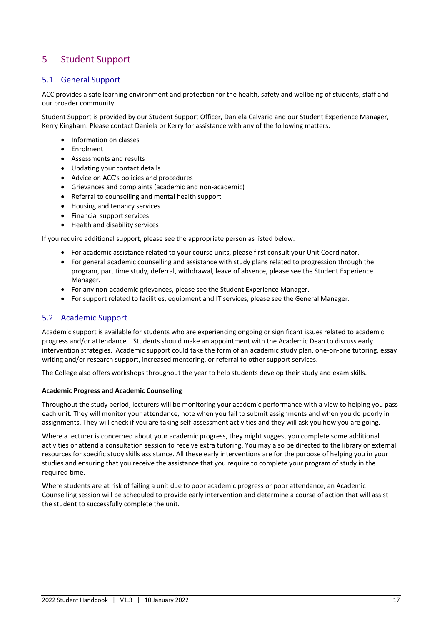# <span id="page-16-0"></span>5 Student Support

# <span id="page-16-1"></span>5.1 General Support

ACC provides a safe learning environment and protection for the health, safety and wellbeing of students, staff and our broader community.

Student Support is provided by our Student Support Officer, Daniela Calvario and our Student Experience Manager, Kerry Kingham. Please contact Daniela or Kerry for assistance with any of the following matters:

- Information on classes
- Enrolment
- Assessments and results
- Updating your contact details
- Advice on ACC's policies and procedures
- Grievances and complaints (academic and non-academic)
- Referral to counselling and mental health support
- Housing and tenancy services
- Financial support services
- Health and disability services

If you require additional support, please see the appropriate person as listed below:

- For academic assistance related to your course units, please first consult your Unit Coordinator.
- For general academic counselling and assistance with study plans related to progression through the program, part time study, deferral, withdrawal, leave of absence, please see the Student Experience Manager.
- For any non-academic grievances, please see the Student Experience Manager.
- For support related to facilities, equipment and IT services, please see the General Manager.

# <span id="page-16-2"></span>5.2 Academic Support

Academic support is available for students who are experiencing ongoing or significant issues related to academic progress and/or attendance. Students should make an appointment with the Academic Dean to discuss early intervention strategies. Academic support could take the form of an academic study plan, one-on-one tutoring, essay writing and/or research support, increased mentoring, or referral to other support services.

The College also offers workshops throughout the year to help students develop their study and exam skills.

#### **Academic Progress and Academic Counselling**

Throughout the study period, lecturers will be monitoring your academic performance with a view to helping you pass each unit. They will monitor your attendance, note when you fail to submit assignments and when you do poorly in assignments. They will check if you are taking self-assessment activities and they will ask you how you are going.

Where a lecturer is concerned about your academic progress, they might suggest you complete some additional activities or attend a consultation session to receive extra tutoring. You may also be directed to the library or external resources for specific study skills assistance. All these early interventions are for the purpose of helping you in your studies and ensuring that you receive the assistance that you require to complete your program of study in the required time.

Where students are at risk of failing a unit due to poor academic progress or poor attendance, an Academic Counselling session will be scheduled to provide early intervention and determine a course of action that will assist the student to successfully complete the unit.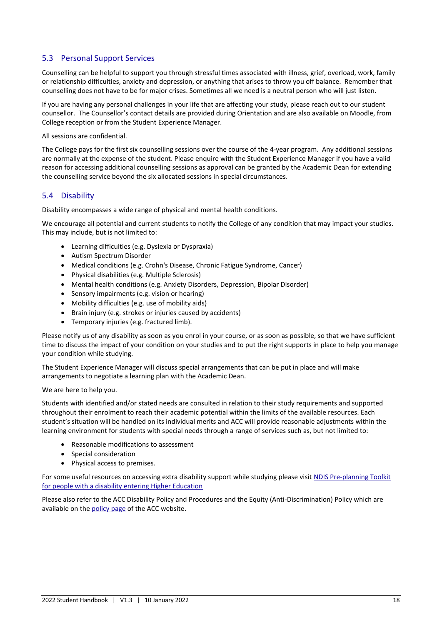# <span id="page-17-0"></span>5.3 Personal Support Services

Counselling can be helpful to support you through stressful times associated with illness, grief, overload, work, family or relationship difficulties, anxiety and depression, or anything that arises to throw you off balance. Remember that counselling does not have to be for major crises. Sometimes all we need is a neutral person who will just listen.

If you are having any personal challenges in your life that are affecting your study, please reach out to our student counsellor. The Counsellor's contact details are provided during Orientation and are also available on Moodle, from College reception or from the Student Experience Manager.

All sessions are confidential.

The College pays for the first six counselling sessions over the course of the 4-year program. Any additional sessions are normally at the expense of the student. Please enquire with the Student Experience Manager if you have a valid reason for accessing additional counselling sessions as approval can be granted by the Academic Dean for extending the counselling service beyond the six allocated sessions in special circumstances.

# <span id="page-17-1"></span>5.4 Disability

Disability encompasses a wide range of physical and mental health conditions.

We encourage all potential and current students to notify the College of any condition that may impact your studies. This may include, but is not limited to:

- Learning difficulties (e.g. Dyslexia or Dyspraxia)
- Autism Spectrum Disorder
- Medical conditions (e.g. Crohn's Disease, Chronic Fatigue Syndrome, Cancer)
- Physical disabilities (e.g. Multiple Sclerosis)
- Mental health conditions (e.g. Anxiety Disorders, Depression, Bipolar Disorder)
- Sensory impairments (e.g. vision or hearing)
- Mobility difficulties (e.g. use of mobility aids)
- Brain injury (e.g. strokes or injuries caused by accidents)
- Temporary injuries (e.g. fractured limb).

Please notify us of any disability as soon as you enrol in your course, or as soon as possible, so that we have sufficient time to discuss the impact of your condition on your studies and to put the right supports in place to help you manage your condition while studying.

The Student Experience Manager will discuss special arrangements that can be put in place and will make arrangements to negotiate a learning plan with the Academic Dean.

We are here to help you.

Students with identified and/or stated needs are consulted in relation to their study requirements and supported throughout their enrolment to reach their academic potential within the limits of the available resources. Each student's situation will be handled on its individual merits and ACC will provide reasonable adjustments within the learning environment for students with special needs through a range of services such as, but not limited to:

- Reasonable modifications to assessment
- Special consideration
- Physical access to premises.

For some useful resources on accessing extra disability support while studying please visi[t NDIS Pre-planning Toolkit](https://www.adcet.edu.au/students-with-disability/planning-for-post-secondary-education/ndis-and-further-education-resource/)  [for people with a disability entering Higher Education](https://www.adcet.edu.au/students-with-disability/planning-for-post-secondary-education/ndis-and-further-education-resource/)

Please also refer to the ACC Disability Policy and Procedures and the Equity (Anti-Discrimination) Policy which are available on th[e policy page](https://acc.sa.edu.au/policies/) of the ACC website.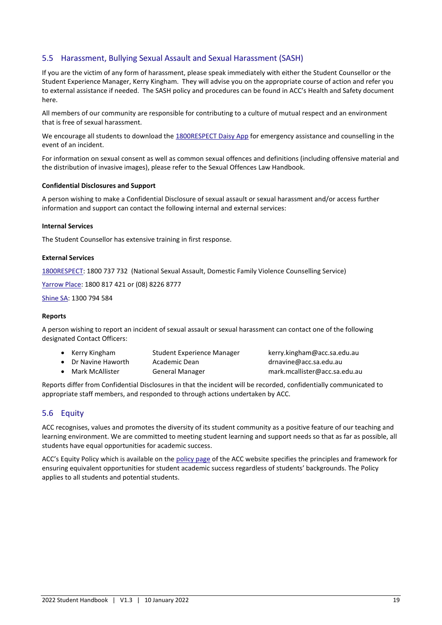# <span id="page-18-0"></span>5.5 Harassment, Bullying Sexual Assault and Sexual Harassment (SASH)

If you are the victim of any form of harassment, please speak immediately with either the Student Counsellor or the Student Experience Manager, Kerry Kingham. They will advise you on the appropriate course of action and refer you to external assistance if needed. The SASH policy and procedures can be found in ACC's Health and Safety document here.

All members of our community are responsible for contributing to a culture of mutual respect and an environment that is free of sexual harassment.

We encourage all students to download th[e 1800RESPECT Daisy App](https://www.1800respect.org.au/daisy) for emergency assistance and counselling in the event of an incident.

For information on sexual consent as well as common sexual offences and definitions (including offensive material and the distribution of invasive images), please refer to the Sexual Offences Law Handbook.

#### **Confidential Disclosures and Support**

A person wishing to make a Confidential Disclosure of sexual assault or sexual harassment and/or access further information and support can contact the following internal and external services:

#### **Internal Services**

The Student Counsellor has extensive training in first response.

#### **External Services**

[1800RESPECT:](https://www.1800respect.org.au/) 1800 737 732 (National Sexual Assault, Domestic Family Violence Counselling Service)

[Yarrow Place:](https://www.sahealth.sa.gov.au/wps/wcm/connect/public+content/sa+health+internet/services/primary+and+specialised+services/sexual+health+services/yarrow+place/yarrow+place) 1800 817 421 or (08) 8226 8777

[Shine SA:](https://www.shinesa.org.au/) 1300 794 584

#### **Reports**

A person wishing to report an incident of sexual assault or sexual harassment can contact one of the following designated Contact Officers:

- Kerry Kingham Student Experience Manager kerry.kingham@acc.sa.edu.au • Dr Navine Haworth Academic Dean drnavine@acc.sa.edu.au
- Mark McAllister General Manager mark.mcallister@acc.sa.edu.au
- 

Reports differ from Confidential Disclosures in that the incident will be recorded, confidentially communicated to appropriate staff members, and responded to through actions undertaken by ACC.

#### <span id="page-18-1"></span>5.6 Equity

ACC recognises, values and promotes the diversity of its student community as a positive feature of our teaching and learning environment. We are committed to meeting student learning and support needs so that as far as possible, all students have equal opportunities for academic success.

ACC's Equity Policy which is available on the [policy page](https://acc.sa.edu.au/policies/) of the ACC website specifies the principles and framework for ensuring equivalent opportunities for student academic success regardless of students' backgrounds. The Policy applies to all students and potential students.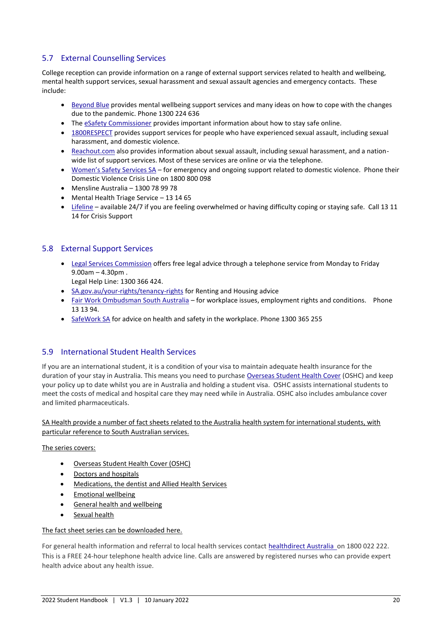# <span id="page-19-0"></span>5.7 External Counselling Services

College reception can provide information on a range of external support services related to health and wellbeing, mental health support services, sexual harassment and sexual assault agencies and emergency contacts. These include:

- [Beyond Blue](https://www.beyondblue.org.au/) provides mental wellbeing support services and many ideas on how to cope with the changes due to the pandemic. Phone 1300 224 636
- The [eSafety Commissioner](https://www.esafety.gov.au/) provides important information about how to stay safe online.
- [1800RESPECT](mailto:https://www.1800respect.org.au/) provides support services for people who have experienced sexual assault, including sexual harassment, and domestic violence.
- [Reachout.com](mailto:https://au.reachout.com/) also provides information about sexual assault, including sexual harassment, and a nationwide list of support services. Most of these services are online or via the telephone.
- [Women's Safety Services SA](mailto:https://womenssafetyservices.com.au/) for emergency and ongoing support related to domestic violence. Phone their Domestic Violence Crisis Line on 1800 800 098
- Mensline Australia 1300 78 99 78
- Mental Health Triage Service 13 14 65
- [Lifeline](mailto:https://www.lifeline.org.au/) available 24/7 if you are feeling overwhelmed or having difficulty coping or staying safe. Call 13 11 14 for Crisis Support

# <span id="page-19-1"></span>5.8 External Support Services

• [Legal Services Commission](mailto:https://lsc.sa.gov.au/cb_pages/legal_advice.php#_LEGAL_HELP_LINE) offers free legal advice through a telephone service from Monday to Friday 9.00am – 4.30pm .

Legal Help Line: 1300 366 424.

- [SA.gov.au/your-rights/tenancy-rights](mailto:https://www.agd.sa.gov.au/your-rights/tenancy-rights) for Renting and Housing advice
- [Fair Work Ombudsman South Australia](mailto:https://www.fairwork.gov.au/contact-us/offices/south-australia) for workplace issues, employment rights and conditions. Phone 13 13 94.
- [SafeWork SA](mailto:https://www.safework.sa.gov.au/about-us/our-role) for advice on health and safety in the workplace. Phone 1300 365 255

# <span id="page-19-2"></span>5.9 International Student Health Services

If you are an international student, it is a condition of your visa to maintain adequate health insurance for the duration of your stay in Australia. This means you need to purchase [Overseas Student Health Cover](https://www.health.gov.au/resources/collections/overseas-student-health-cover-oshc-resources?utm_source=health.gov.au&utm_medium=callout-auto-custom&utm_campaign=digital_transformation) (OSHC) and keep your policy up to date whilst you are in Australia and holding a student visa. OSHC assists international students to meet the costs of medical and hospital care they may need while in Australia. OSHC also includes ambulance cover and limited pharmaceuticals.

#### SA Health provide a number of fact sheets related to the Australia health system for international students, with particular reference to South Australian services.

The series covers:

- Overseas Student Health Cover (OSHC)
- Doctors and hospitals
- Medications, the dentist and Allied Health Services
- Emotional wellbeing
- General health and wellbeing
- Sexual health

#### The fact sheet series can be downloaded [here.](https://www.sahealth.sa.gov.au/wps/wcm/connect/c26b940042f5a41da3dab39d0fd82883/International+Students+Health+and+Wellbeing+Fact+Sheets+2019-+FINAL.pdf?MOD=AJPERES&CACHEID=ROOTWORKSPACE-c26b940042f5a41da3dab39d0fd82883-nKOKomq)

For general health information and referral to local health services contac[t healthdirect Australia o](https://www.healthdirect.gov.au/)n 1800 022 222. This is a FREE 24-hour telephone health advice line. Calls are answered by registered nurses who can provide expert health advice about any health issue.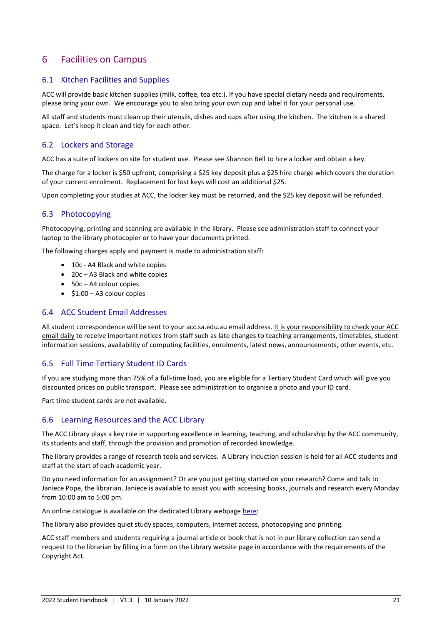# <span id="page-20-0"></span>6 Facilities on Campus

## <span id="page-20-1"></span>6.1 Kitchen Facilities and Supplies

ACC will provide basic kitchen supplies (milk, coffee, tea etc.). If you have special dietary needs and requirements, please bring your own. We encourage you to also bring your own cup and label it for your personal use.

All staff and students must clean up their utensils, dishes and cups after using the kitchen. The kitchen is a shared space. Let's keep it clean and tidy for each other.

#### <span id="page-20-2"></span>6.2 Lockers and Storage

ACC has a suite of lockers on site for student use. Please see Shannon Bell to hire a locker and obtain a key.

The charge for a locker is \$50 upfront, comprising a \$25 key deposit plus a \$25 hire charge which covers the duration of your current enrolment. Replacement for lost keys will cost an additional \$25.

Upon completing your studies at ACC, the locker key must be returned, and the \$25 key deposit will be refunded.

## <span id="page-20-3"></span>6.3 Photocopying

Photocopying, printing and scanning are available in the library. Please see administration staff to connect your laptop to the library photocopier or to have your documents printed.

The following charges apply and payment is made to administration staff:

- 10c A4 Black and white copies
- 20c A3 Black and white copies
- 50c A4 colour copies
- \$1.00 A3 colour copies

#### <span id="page-20-4"></span>6.4 ACC Student Email Addresses

All student correspondence will be sent to your acc.sa.edu.au email address. It is your responsibility to check your ACC email daily to receive important notices from staff such as late changes to teaching arrangements, timetables, student information sessions, availability of computing facilities, enrolments, latest news, announcements, other events, etc.

#### <span id="page-20-5"></span>6.5 Full Time Tertiary Student ID Cards

If you are studying more than 75% of a full-time load, you are eligible for a Tertiary Student Card which will give you discounted prices on public transport. Please see administration to organise a photo and your ID card.

Part time student cards are not available.

#### <span id="page-20-6"></span>6.6 Learning Resources and the ACC Library

The ACC Library plays a key role in supporting excellence in learning, teaching, and scholarship by the ACC community, its students and staff, through the provision and promotion of recorded knowledge.

The library provides a range of research tools and services. A Library induction session is held for all ACC students and staff at the start of each academic year.

Do you need information for an assignment? Or are you just getting started on your research? Come and talk to Janiece Pope, the librarian. Janiece is available to assist you with accessing books, journals and research every Monday from 10:00 am to 5:00 pm.

An online catalogue is available on the dedicated Library webpage [here:](https://acc.sa.edu.au/acc-library/)

The library also provides quiet study spaces, computers, internet access, photocopying and printing.

ACC staff members and students requiring a journal article or book that is not in our library collection can send a request to the librarian by filling in a form on the Library website page in accordance with the requirements of the Copyright Act.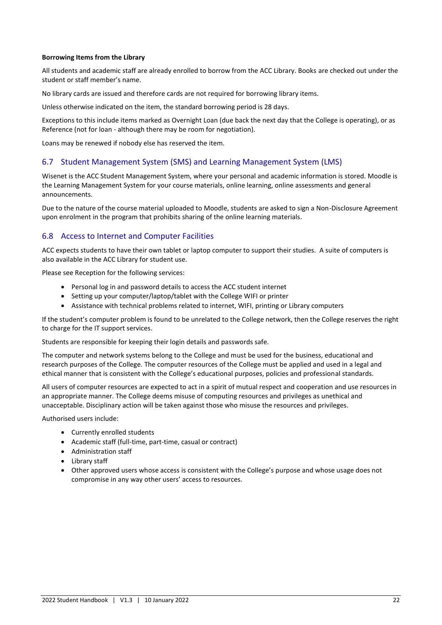#### **Borrowing Items from the Library**

All students and academic staff are already enrolled to borrow from the ACC Library. Books are checked out under the student or staff member's name.

No library cards are issued and therefore cards are not required for borrowing library items.

Unless otherwise indicated on the item, the standard borrowing period is 28 days.

Exceptions to this include items marked as Overnight Loan (due back the next day that the College is operating), or as Reference (not for loan - although there may be room for negotiation).

Loans may be renewed if nobody else has reserved the item.

#### <span id="page-21-0"></span>6.7 Student Management System (SMS) and Learning Management System (LMS)

Wisenet is the ACC Student Management System, where your personal and academic information is stored. Moodle is the Learning Management System for your course materials, online learning, online assessments and general announcements.

Due to the nature of the course material uploaded to Moodle, students are asked to sign a Non-Disclosure Agreement upon enrolment in the program that prohibits sharing of the online learning materials.

#### <span id="page-21-1"></span>6.8 Access to Internet and Computer Facilities

ACC expects students to have their own tablet or laptop computer to support their studies. A suite of computers is also available in the ACC Library for student use.

Please see Reception for the following services:

- Personal log in and password details to access the ACC student internet
- Setting up your computer/laptop/tablet with the College WIFI or printer
- Assistance with technical problems related to internet, WIFI, printing or Library computers

If the student's computer problem is found to be unrelated to the College network, then the College reserves the right to charge for the IT support services.

Students are responsible for keeping their login details and passwords safe.

The computer and network systems belong to the College and must be used for the business, educational and research purposes of the College. The computer resources of the College must be applied and used in a legal and ethical manner that is consistent with the College's educational purposes, policies and professional standards.

All users of computer resources are expected to act in a spirit of mutual respect and cooperation and use resources in an appropriate manner. The College deems misuse of computing resources and privileges as unethical and unacceptable. Disciplinary action will be taken against those who misuse the resources and privileges.

Authorised users include:

- Currently enrolled students
- Academic staff (full-time, part-time, casual or contract)
- Administration staff
- Library staff
- Other approved users whose access is consistent with the College's purpose and whose usage does not compromise in any way other users' access to resources.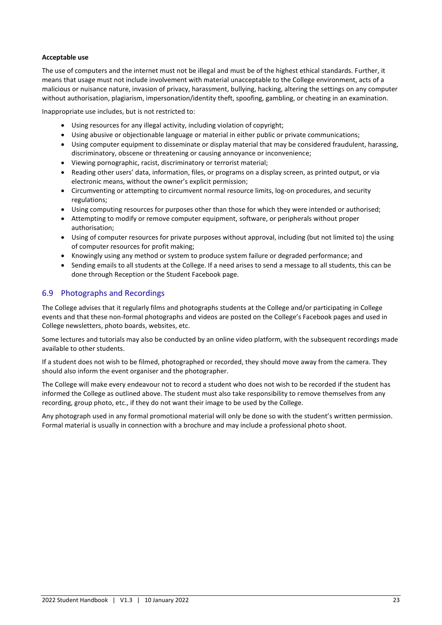#### **Acceptable use**

The use of computers and the internet must not be illegal and must be of the highest ethical standards. Further, it means that usage must not include involvement with material unacceptable to the College environment, acts of a malicious or nuisance nature, invasion of privacy, harassment, bullying, hacking, altering the settings on any computer without authorisation, plagiarism, impersonation/identity theft, spoofing, gambling, or cheating in an examination.

Inappropriate use includes, but is not restricted to:

- Using resources for any illegal activity, including violation of copyright;
- Using abusive or objectionable language or material in either public or private communications;
- Using computer equipment to disseminate or display material that may be considered fraudulent, harassing, discriminatory, obscene or threatening or causing annoyance or inconvenience;
- Viewing pornographic, racist, discriminatory or terrorist material;
- Reading other users' data, information, files, or programs on a display screen, as printed output, or via electronic means, without the owner's explicit permission;
- Circumventing or attempting to circumvent normal resource limits, log-on procedures, and security regulations;
- Using computing resources for purposes other than those for which they were intended or authorised;
- Attempting to modify or remove computer equipment, software, or peripherals without proper authorisation;
- Using of computer resources for private purposes without approval, including (but not limited to) the using of computer resources for profit making;
- Knowingly using any method or system to produce system failure or degraded performance; and
- Sending emails to all students at the College. If a need arises to send a message to all students, this can be done through Reception or the Student Facebook page.

# <span id="page-22-0"></span>6.9 Photographs and Recordings

The College advises that it regularly films and photographs students at the College and/or participating in College events and that these non-formal photographs and videos are posted on the College's Facebook pages and used in College newsletters, photo boards, websites, etc.

Some lectures and tutorials may also be conducted by an online video platform, with the subsequent recordings made available to other students.

If a student does not wish to be filmed, photographed or recorded, they should move away from the camera. They should also inform the event organiser and the photographer.

The College will make every endeavour not to record a student who does not wish to be recorded if the student has informed the College as outlined above. The student must also take responsibility to remove themselves from any recording, group photo, etc., if they do not want their image to be used by the College.

Any photograph used in any formal promotional material will only be done so with the student's written permission. Formal material is usually in connection with a brochure and may include a professional photo shoot.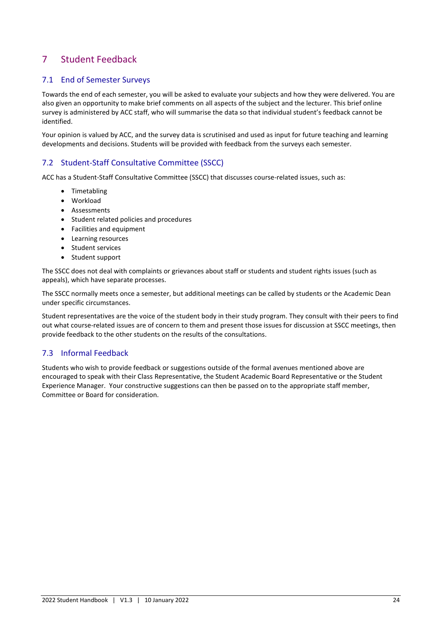# <span id="page-23-0"></span>7 Student Feedback

# <span id="page-23-1"></span>7.1 End of Semester Surveys

Towards the end of each semester, you will be asked to evaluate your subjects and how they were delivered. You are also given an opportunity to make brief comments on all aspects of the subject and the lecturer. This brief online survey is administered by ACC staff, who will summarise the data so that individual student's feedback cannot be identified.

Your opinion is valued by ACC, and the survey data is scrutinised and used as input for future teaching and learning developments and decisions. Students will be provided with feedback from the surveys each semester.

# <span id="page-23-2"></span>7.2 Student-Staff Consultative Committee (SSCC)

ACC has a Student-Staff Consultative Committee (SSCC) that discusses course-related issues, such as:

- Timetabling
- Workload
- Assessments
- Student related policies and procedures
- Facilities and equipment
- Learning resources
- Student services
- Student support

The SSCC does not deal with complaints or grievances about staff or students and student rights issues (such as appeals), which have separate processes.

The SSCC normally meets once a semester, but additional meetings can be called by students or the Academic Dean under specific circumstances.

Student representatives are the voice of the student body in their study program. They consult with their peers to find out what course-related issues are of concern to them and present those issues for discussion at SSCC meetings, then provide feedback to the other students on the results of the consultations.

# <span id="page-23-3"></span>7.3 Informal Feedback

Students who wish to provide feedback or suggestions outside of the formal avenues mentioned above are encouraged to speak with their Class Representative, the Student Academic Board Representative or the Student Experience Manager. Your constructive suggestions can then be passed on to the appropriate staff member, Committee or Board for consideration.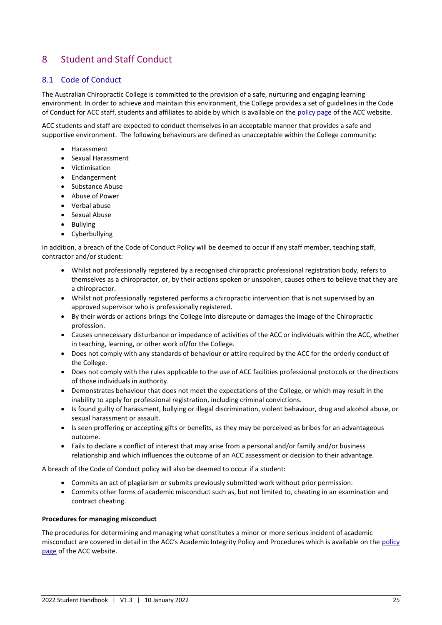# <span id="page-24-0"></span>8 Student and Staff Conduct

# <span id="page-24-1"></span>8.1 Code of Conduct

The Australian Chiropractic College is committed to the provision of a safe, nurturing and engaging learning environment. In order to achieve and maintain this environment, the College provides a set of guidelines in the Code of Conduct for ACC staff, students and affiliates to abide by which is available on the [policy page](https://acc.sa.edu.au/policies/) of the ACC website.

ACC students and staff are expected to conduct themselves in an acceptable manner that provides a safe and supportive environment. The following behaviours are defined as unacceptable within the College community:

- Harassment
- Sexual Harassment
- Victimisation
- Endangerment
- Substance Abuse
- Abuse of Power
- Verbal abuse
- Sexual Abuse
- Bullying
- Cyberbullying

In addition, a breach of the Code of Conduct Policy will be deemed to occur if any staff member, teaching staff, contractor and/or student:

- Whilst not professionally registered by a recognised chiropractic professional registration body, refers to themselves as a chiropractor, or, by their actions spoken or unspoken, causes others to believe that they are a chiropractor.
- Whilst not professionally registered performs a chiropractic intervention that is not supervised by an approved supervisor who is professionally registered.
- By their words or actions brings the College into disrepute or damages the image of the Chiropractic profession.
- Causes unnecessary disturbance or impedance of activities of the ACC or individuals within the ACC, whether in teaching, learning, or other work of/for the College.
- Does not comply with any standards of behaviour or attire required by the ACC for the orderly conduct of the College.
- Does not comply with the rules applicable to the use of ACC facilities professional protocols or the directions of those individuals in authority.
- Demonstrates behaviour that does not meet the expectations of the College, or which may result in the inability to apply for professional registration, including criminal convictions.
- Is found guilty of harassment, bullying or illegal discrimination, violent behaviour, drug and alcohol abuse, or sexual harassment or assault.
- Is seen proffering or accepting gifts or benefits, as they may be perceived as bribes for an advantageous outcome.
- Fails to declare a conflict of interest that may arise from a personal and/or family and/or business relationship and which influences the outcome of an ACC assessment or decision to their advantage.

A breach of the Code of Conduct policy will also be deemed to occur if a student:

- Commits an act of plagiarism or submits previously submitted work without prior permission.
- Commits other forms of academic misconduct such as, but not limited to, cheating in an examination and contract cheating.

#### **Procedures for managing misconduct**

The procedures for determining and managing what constitutes a minor or more serious incident of academic misconduct are covered in detail in the ACC's Academic Integrity Policy and Procedures which is available on the [policy](https://acc.sa.edu.au/policies/)  [page](https://acc.sa.edu.au/policies/) of the ACC website.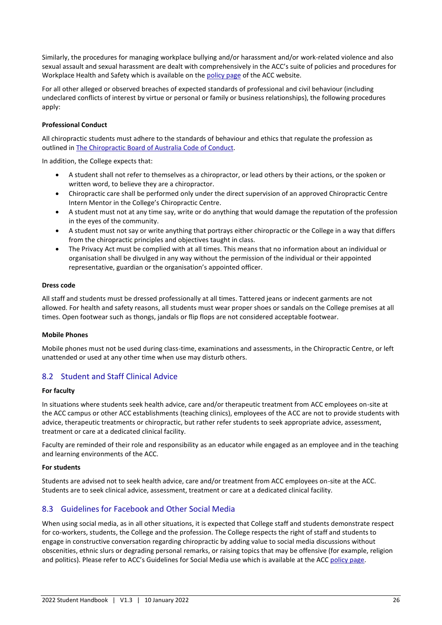Similarly, the procedures for managing workplace bullying and/or harassment and/or work-related violence and also sexual assault and sexual harassment are dealt with comprehensively in the ACC's suite of policies and procedures for Workplace Health and Safety which is available on the [policy page](https://acc.sa.edu.au/policies/) of the ACC website.

For all other alleged or observed breaches of expected standards of professional and civil behaviour (including undeclared conflicts of interest by virtue or personal or family or business relationships), the following procedures apply:

#### **Professional Conduct**

All chiropractic students must adhere to the standards of behaviour and ethics that regulate the profession as outlined i[n The Chiropractic Board of Australia Code of Conduct.](mailto:https://www.chiropracticboard.gov.au/Codes-guidelines/Code-of-conduct.aspx)

In addition, the College expects that:

- A student shall not refer to themselves as a chiropractor, or lead others by their actions, or the spoken or written word, to believe they are a chiropractor.
- Chiropractic care shall be performed only under the direct supervision of an approved Chiropractic Centre Intern Mentor in the College's Chiropractic Centre.
- A student must not at any time say, write or do anything that would damage the reputation of the profession in the eyes of the community.
- A student must not say or write anything that portrays either chiropractic or the College in a way that differs from the chiropractic principles and objectives taught in class.
- The Privacy Act must be complied with at all times. This means that no information about an individual or organisation shall be divulged in any way without the permission of the individual or their appointed representative, guardian or the organisation's appointed officer.

#### **Dress code**

All staff and students must be dressed professionally at all times. Tattered jeans or indecent garments are not allowed. For health and safety reasons, all students must wear proper shoes or sandals on the College premises at all times. Open footwear such as thongs, jandals or flip flops are not considered acceptable footwear.

#### **Mobile Phones**

Mobile phones must not be used during class-time, examinations and assessments, in the Chiropractic Centre, or left unattended or used at any other time when use may disturb others.

#### <span id="page-25-0"></span>8.2 Student and Staff Clinical Advice

#### **For faculty**

In situations where students seek health advice, care and/or therapeutic treatment from ACC employees on-site at the ACC campus or other ACC establishments (teaching clinics), employees of the ACC are not to provide students with advice, therapeutic treatments or chiropractic, but rather refer students to seek appropriate advice, assessment, treatment or care at a dedicated clinical facility.

Faculty are reminded of their role and responsibility as an educator while engaged as an employee and in the teaching and learning environments of the ACC.

#### **For students**

Students are advised not to seek health advice, care and/or treatment from ACC employees on-site at the ACC. Students are to seek clinical advice, assessment, treatment or care at a dedicated clinical facility.

#### <span id="page-25-1"></span>8.3 Guidelines for Facebook and Other Social Media

When using social media, as in all other situations, it is expected that College staff and students demonstrate respect for co-workers, students, the College and the profession. The College respects the right of staff and students to engage in constructive conversation regarding chiropractic by adding value to social media discussions without obscenities, ethnic slurs or degrading personal remarks, or raising topics that may be offensive (for example, religion and politics). Please refer to ACC's Guidelines for Social Media use which is available at the ACC [policy page.](https://acc.sa.edu.au/policies/)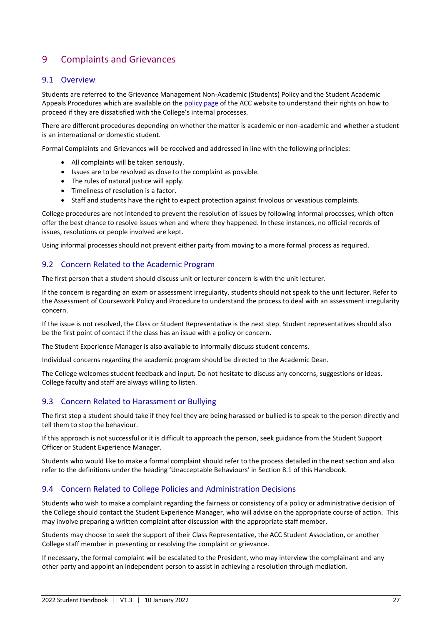# <span id="page-26-0"></span>9 Complaints and Grievances

# <span id="page-26-1"></span>9.1 Overview

Students are referred to the Grievance Management Non-Academic (Students) Policy and the Student Academic Appeals Procedures which are available on the [policy page](https://acc.sa.edu.au/policies/) of the ACC website to understand their rights on how to proceed if they are dissatisfied with the College's internal processes.

There are different procedures depending on whether the matter is academic or non-academic and whether a student is an international or domestic student.

Formal Complaints and Grievances will be received and addressed in line with the following principles:

- All complaints will be taken seriously.
- Issues are to be resolved as close to the complaint as possible.
- The rules of natural justice will apply.
- Timeliness of resolution is a factor.
- Staff and students have the right to expect protection against frivolous or vexatious complaints.

College procedures are not intended to prevent the resolution of issues by following informal processes, which often offer the best chance to resolve issues when and where they happened. In these instances, no official records of issues, resolutions or people involved are kept.

Using informal processes should not prevent either party from moving to a more formal process as required.

## <span id="page-26-2"></span>9.2 Concern Related to the Academic Program

The first person that a student should discuss unit or lecturer concern is with the unit lecturer.

If the concern is regarding an exam or assessment irregularity, students should not speak to the unit lecturer. Refer to the Assessment of Coursework Policy and Procedure to understand the process to deal with an assessment irregularity concern.

If the issue is not resolved, the Class or Student Representative is the next step. Student representatives should also be the first point of contact if the class has an issue with a policy or concern.

The Student Experience Manager is also available to informally discuss student concerns.

Individual concerns regarding the academic program should be directed to the Academic Dean.

The College welcomes student feedback and input. Do not hesitate to discuss any concerns, suggestions or ideas. College faculty and staff are always willing to listen.

# <span id="page-26-3"></span>9.3 Concern Related to Harassment or Bullying

The first step a student should take if they feel they are being harassed or bullied is to speak to the person directly and tell them to stop the behaviour.

If this approach is not successful or it is difficult to approach the person, seek guidance from the Student Support Officer or Student Experience Manager.

Students who would like to make a formal complaint should refer to the process detailed in the next section and also refer to the definitions under the heading 'Unacceptable Behaviours' in Section 8.1 of this Handbook.

# <span id="page-26-4"></span>9.4 Concern Related to College Policies and Administration Decisions

Students who wish to make a complaint regarding the fairness or consistency of a policy or administrative decision of the College should contact the Student Experience Manager, who will advise on the appropriate course of action. This may involve preparing a written complaint after discussion with the appropriate staff member.

Students may choose to seek the support of their Class Representative, the ACC Student Association, or another College staff member in presenting or resolving the complaint or grievance.

If necessary, the formal complaint will be escalated to the President, who may interview the complainant and any other party and appoint an independent person to assist in achieving a resolution through mediation.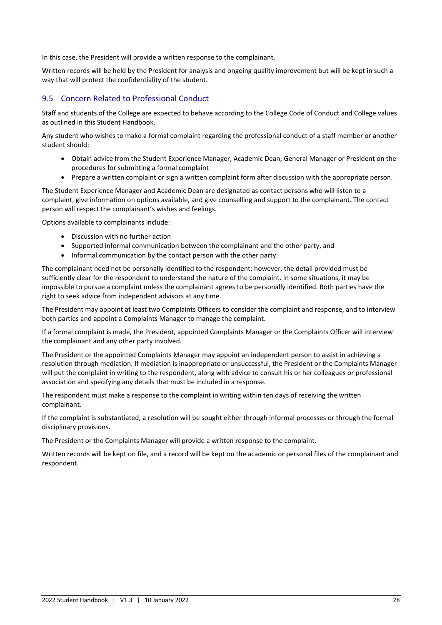In this case, the President will provide a written response to the complainant.

Written records will be held by the President for analysis and ongoing quality improvement but will be kept in such a way that will protect the confidentiality of the student.

# <span id="page-27-0"></span>9.5 Concern Related to Professional Conduct

Staff and students of the College are expected to behave according to the College Code of Conduct and College values as outlined in this Student Handbook.

Any student who wishes to make a formal complaint regarding the professional conduct of a staff member or another student should:

- Obtain advice from the Student Experience Manager, Academic Dean, General Manager or President on the procedures for submitting a formal complaint
- Prepare a written complaint or sign a written complaint form after discussion with the appropriate person.

The Student Experience Manager and Academic Dean are designated as contact persons who will listen to a complaint, give information on options available, and give counselling and support to the complainant. The contact person will respect the complainant's wishes and feelings.

Options available to complainants include:

- Discussion with no further action
- Supported informal communication between the complainant and the other party, and
- Informal communication by the contact person with the other party.

The complainant need not be personally identified to the respondent; however, the detail provided must be sufficiently clear for the respondent to understand the nature of the complaint. In some situations, it may be impossible to pursue a complaint unless the complainant agrees to be personally identified. Both parties have the right to seek advice from independent advisors at any time.

The President may appoint at least two Complaints Officers to consider the complaint and response, and to interview both parties and appoint a Complaints Manager to manage the complaint.

If a formal complaint is made, the President, appointed Complaints Manager or the Complaints Officer will interview the complainant and any other party involved.

The President or the appointed Complaints Manager may appoint an independent person to assist in achieving a resolution through mediation. If mediation is inappropriate or unsuccessful, the President or the Complaints Manager will put the complaint in writing to the respondent, along with advice to consult his or her colleagues or professional association and specifying any details that must be included in a response.

The respondent must make a response to the complaint in writing within ten days of receiving the written complainant.

If the complaint is substantiated, a resolution will be sought either through informal processes or through the formal disciplinary provisions.

The President or the Complaints Manager will provide a written response to the complaint.

Written records will be kept on file, and a record will be kept on the academic or personal files of the complainant and respondent.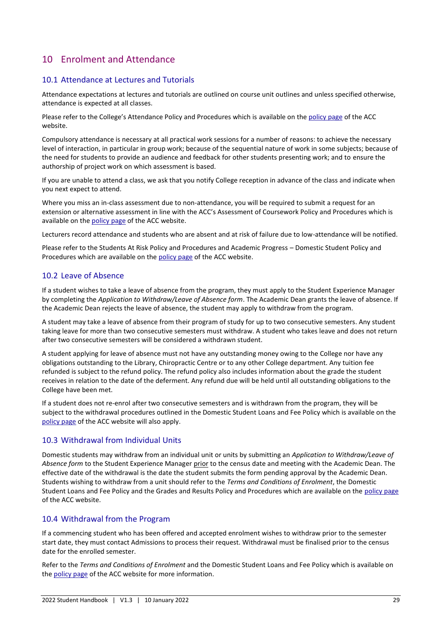# <span id="page-28-0"></span>10 Enrolment and Attendance

# <span id="page-28-1"></span>10.1 Attendance at Lectures and Tutorials

Attendance expectations at lectures and tutorials are outlined on course unit outlines and unless specified otherwise, attendance is expected at all classes.

Please refer to the College's Attendance Policy and Procedures which is available on th[e policy page](https://acc.sa.edu.au/policies/) of the ACC website.

Compulsory attendance is necessary at all practical work sessions for a number of reasons: to achieve the necessary level of interaction, in particular in group work; because of the sequential nature of work in some subjects; because of the need for students to provide an audience and feedback for other students presenting work; and to ensure the authorship of project work on which assessment is based.

If you are unable to attend a class, we ask that you notify College reception in advance of the class and indicate when you next expect to attend.

Where you miss an in-class assessment due to non-attendance, you will be required to submit a request for an extension or alternative assessment in line with the ACC's Assessment of Coursework Policy and Procedures which is available on th[e policy page](https://acc.sa.edu.au/policies/) of the ACC website.

Lecturers record attendance and students who are absent and at risk of failure due to low-attendance will be notified.

Please refer to the Students At Risk Policy and Procedures and Academic Progress – Domestic Student Policy and Procedures which are available on the [policy page](https://acc.sa.edu.au/policies/) of the ACC website.

## <span id="page-28-2"></span>10.2 Leave of Absence

If a student wishes to take a leave of absence from the program, they must apply to the Student Experience Manager by completing the *Application to Withdraw/Leave of Absence form*. The Academic Dean grants the leave of absence. If the Academic Dean rejects the leave of absence, the student may apply to withdraw from the program.

A student may take a leave of absence from their program of study for up to two consecutive semesters. Any student taking leave for more than two consecutive semesters must withdraw. A student who takes leave and does not return after two consecutive semesters will be considered a withdrawn student.

A student applying for leave of absence must not have any outstanding money owing to the College nor have any obligations outstanding to the Library, Chiropractic Centre or to any other College department. Any tuition fee refunded is subject to the refund policy. The refund policy also includes information about the grade the student receives in relation to the date of the deferment. Any refund due will be held until all outstanding obligations to the College have been met.

If a student does not re-enrol after two consecutive semesters and is withdrawn from the program, they will be subject to the withdrawal procedures outlined in the Domestic Student Loans and Fee Policy which is available on the [policy page](https://acc.sa.edu.au/policies/) of the ACC website will also apply.

#### <span id="page-28-3"></span>10.3 Withdrawal from Individual Units

Domestic students may withdraw from an individual unit or units by submitting an *Application to Withdraw/Leave of Absence form* to the Student Experience Manager prior to the census date and meeting with the Academic Dean. The effective date of the withdrawal is the date the student submits the form pending approval by the Academic Dean. Students wishing to withdraw from a unit should refer to the *Terms and Conditions of Enrolment*, the Domestic Student Loans and Fee Policy and the Grades and Results Policy and Procedures which are available on the [policy page](https://acc.sa.edu.au/policies/) of the ACC website.

#### <span id="page-28-4"></span>10.4 Withdrawal from the Program

If a commencing student who has been offered and accepted enrolment wishes to withdraw prior to the semester start date, they must contact Admissions to process their request. Withdrawal must be finalised prior to the census date for the enrolled semester.

Refer to the *Terms and Conditions of Enrolment* and the Domestic Student Loans and Fee Policy which is available on th[e policy page](https://acc.sa.edu.au/policies/) of the ACC website for more information.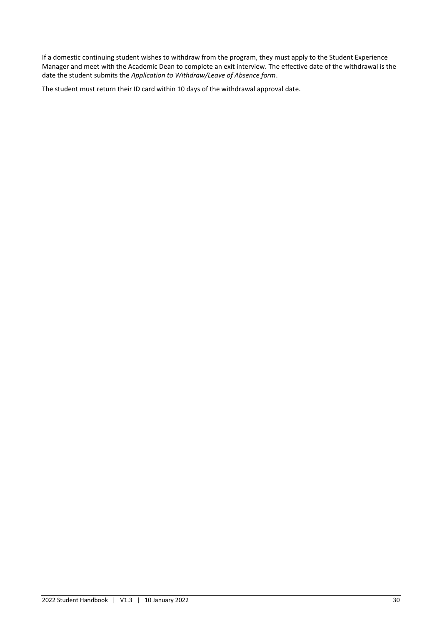If a domestic continuing student wishes to withdraw from the program, they must apply to the Student Experience Manager and meet with the Academic Dean to complete an exit interview. The effective date of the withdrawal is the date the student submits the *Application to Withdraw/Leave of Absence form*.

The student must return their ID card within 10 days of the withdrawal approval date.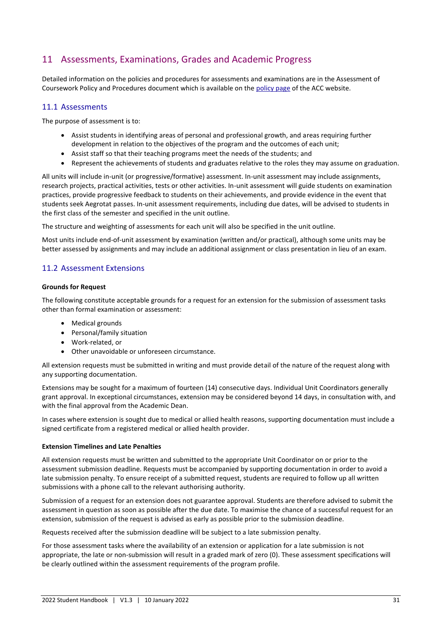# <span id="page-30-0"></span>11 Assessments, Examinations, Grades and Academic Progress

Detailed information on the policies and procedures for assessments and examinations are in the Assessment of Coursework Policy and Procedures document which is available on the [policy page](https://acc.sa.edu.au/policies/) of the ACC website.

# <span id="page-30-1"></span>11.1 Assessments

The purpose of assessment is to:

- Assist students in identifying areas of personal and professional growth, and areas requiring further development in relation to the objectives of the program and the outcomes of each unit;
- Assist staff so that their teaching programs meet the needs of the students; and
- Represent the achievements of students and graduates relative to the roles they may assume on graduation.

All units will include in-unit (or progressive/formative) assessment. In-unit assessment may include assignments, research projects, practical activities, tests or other activities. In-unit assessment will guide students on examination practices, provide progressive feedback to students on their achievements, and provide evidence in the event that students seek Aegrotat passes. In-unit assessment requirements, including due dates, will be advised to students in the first class of the semester and specified in the unit outline.

The structure and weighting of assessments for each unit will also be specified in the unit outline.

Most units include end-of-unit assessment by examination (written and/or practical), although some units may be better assessed by assignments and may include an additional assignment or class presentation in lieu of an exam.

# <span id="page-30-2"></span>11.2 Assessment Extensions

#### **Grounds for Request**

The following constitute acceptable grounds for a request for an extension for the submission of assessment tasks other than formal examination or assessment:

- Medical grounds
- Personal/family situation
- Work-related, or
- Other unavoidable or unforeseen circumstance.

All extension requests must be submitted in writing and must provide detail of the nature of the request along with any supporting documentation.

Extensions may be sought for a maximum of fourteen (14) consecutive days. Individual Unit Coordinators generally grant approval. In exceptional circumstances, extension may be considered beyond 14 days, in consultation with, and with the final approval from the Academic Dean.

In cases where extension is sought due to medical or allied health reasons, supporting documentation must include a signed certificate from a registered medical or allied health provider.

#### **Extension Timelines and Late Penalties**

All extension requests must be written and submitted to the appropriate Unit Coordinator on or prior to the assessment submission deadline. Requests must be accompanied by supporting documentation in order to avoid a late submission penalty. To ensure receipt of a submitted request, students are required to follow up all written submissions with a phone call to the relevant authorising authority.

Submission of a request for an extension does not guarantee approval. Students are therefore advised to submit the assessment in question as soon as possible after the due date. To maximise the chance of a successful request for an extension, submission of the request is advised as early as possible prior to the submission deadline.

Requests received after the submission deadline will be subject to a late submission penalty.

For those assessment tasks where the availability of an extension or application for a late submission is not appropriate, the late or non-submission will result in a graded mark of zero (0). These assessment specifications will be clearly outlined within the assessment requirements of the program profile.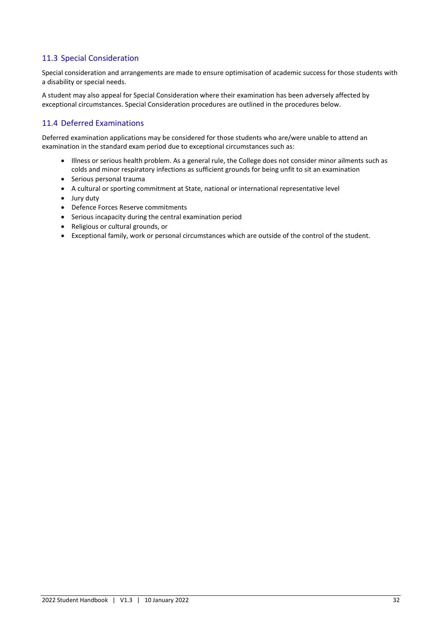# <span id="page-31-0"></span>11.3 Special Consideration

Special consideration and arrangements are made to ensure optimisation of academic success for those students with a disability or special needs.

A student may also appeal for Special Consideration where their examination has been adversely affected by exceptional circumstances. Special Consideration procedures are outlined in the procedures below.

# <span id="page-31-1"></span>11.4 Deferred Examinations

Deferred examination applications may be considered for those students who are/were unable to attend an examination in the standard exam period due to exceptional circumstances such as:

- Illness or serious health problem. As a general rule, the College does not consider minor ailments such as colds and minor respiratory infections as sufficient grounds for being unfit to sit an examination
- Serious personal trauma
- A cultural or sporting commitment at State, national or international representative level
- Jury duty
- Defence Forces Reserve commitments
- Serious incapacity during the central examination period
- Religious or cultural grounds, or
- Exceptional family, work or personal circumstances which are outside of the control of the student.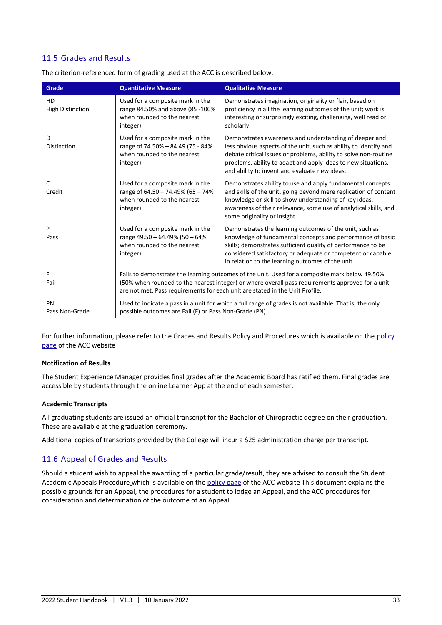# <span id="page-32-0"></span>11.5 Grades and Results

| Grade                         | <b>Quantitative Measure</b>                                                                                                                                                                                                                                                                                                                                                                                                            | <b>Qualitative Measure</b>                                                                                                                                                                                                                                                                                |  |
|-------------------------------|----------------------------------------------------------------------------------------------------------------------------------------------------------------------------------------------------------------------------------------------------------------------------------------------------------------------------------------------------------------------------------------------------------------------------------------|-----------------------------------------------------------------------------------------------------------------------------------------------------------------------------------------------------------------------------------------------------------------------------------------------------------|--|
| HD<br><b>High Distinction</b> | Used for a composite mark in the<br>range 84.50% and above (85 -100%<br>when rounded to the nearest<br>integer).                                                                                                                                                                                                                                                                                                                       | Demonstrates imagination, originality or flair, based on<br>proficiency in all the learning outcomes of the unit; work is<br>interesting or surprisingly exciting, challenging, well read or<br>scholarly.                                                                                                |  |
| D<br>Distinction              | Used for a composite mark in the<br>Demonstrates awareness and understanding of deeper and<br>range of 74.50% - 84.49 (75 - 84%<br>less obvious aspects of the unit, such as ability to identify and<br>when rounded to the nearest<br>debate critical issues or problems, ability to solve non-routine<br>problems, ability to adapt and apply ideas to new situations,<br>integer).<br>and ability to invent and evaluate new ideas. |                                                                                                                                                                                                                                                                                                           |  |
| C<br>Credit                   | Used for a composite mark in the<br>range of 64.50 - 74.49% (65 - 74%<br>when rounded to the nearest<br>integer).                                                                                                                                                                                                                                                                                                                      | Demonstrates ability to use and apply fundamental concepts<br>and skills of the unit, going beyond mere replication of content<br>knowledge or skill to show understanding of key ideas,<br>awareness of their relevance, some use of analytical skills, and<br>some originality or insight.              |  |
| P<br>Pass                     | Used for a composite mark in the<br>range 49.50 - 64.49% (50 - 64%<br>when rounded to the nearest<br>integer).                                                                                                                                                                                                                                                                                                                         | Demonstrates the learning outcomes of the unit, such as<br>knowledge of fundamental concepts and performance of basic<br>skills; demonstrates sufficient quality of performance to be<br>considered satisfactory or adequate or competent or capable<br>in relation to the learning outcomes of the unit. |  |
| F<br>Fail                     | Fails to demonstrate the learning outcomes of the unit. Used for a composite mark below 49.50%<br>(50% when rounded to the nearest integer) or where overall pass requirements approved for a unit<br>are not met. Pass requirements for each unit are stated in the Unit Profile.                                                                                                                                                     |                                                                                                                                                                                                                                                                                                           |  |
| PN<br>Pass Non-Grade          | Used to indicate a pass in a unit for which a full range of grades is not available. That is, the only<br>possible outcomes are Fail (F) or Pass Non-Grade (PN).                                                                                                                                                                                                                                                                       |                                                                                                                                                                                                                                                                                                           |  |

The criterion-referenced form of grading used at the ACC is described below.

For further information, please refer to the Grades and Results Policy and Procedures which is available on the policy [page](https://acc.sa.edu.au/policies/) of the ACC website

#### **Notification of Results**

The Student Experience Manager provides final grades after the Academic Board has ratified them. Final grades are accessible by students through the online Learner App at the end of each semester.

#### **Academic Transcripts**

All graduating students are issued an official transcript for the Bachelor of Chiropractic degree on their graduation. These are available at the graduation ceremony.

Additional copies of transcripts provided by the College will incur a \$25 administration charge per transcript.

# <span id="page-32-1"></span>11.6 Appeal of Grades and Results

Should a student wish to appeal the awarding of a particular grade/result, they are advised to consult the Student Academic Appeals Procedure which is available on the [policy page](https://acc.sa.edu.au/policies/) of the ACC website This document explains the possible grounds for an Appeal, the procedures for a student to lodge an Appeal, and the ACC procedures for consideration and determination of the outcome of an Appeal.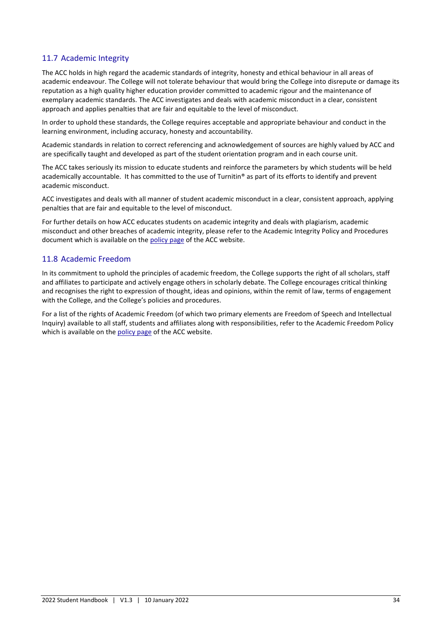# <span id="page-33-0"></span>11.7 Academic Integrity

The ACC holds in high regard the academic standards of integrity, honesty and ethical behaviour in all areas of academic endeavour. The College will not tolerate behaviour that would bring the College into disrepute or damage its reputation as a high quality higher education provider committed to academic rigour and the maintenance of exemplary academic standards. The ACC investigates and deals with academic misconduct in a clear, consistent approach and applies penalties that are fair and equitable to the level of misconduct.

In order to uphold these standards, the College requires acceptable and appropriate behaviour and conduct in the learning environment, including accuracy, honesty and accountability.

Academic standards in relation to correct referencing and acknowledgement of sources are highly valued by ACC and are specifically taught and developed as part of the student orientation program and in each course unit.

The ACC takes seriously its mission to educate students and reinforce the parameters by which students will be held academically accountable. It has committed to the use of Turnitin® as part of its efforts to identify and prevent academic misconduct.

ACC investigates and deals with all manner of student academic misconduct in a clear, consistent approach, applying penalties that are fair and equitable to the level of misconduct.

For further details on how ACC educates students on academic integrity and deals with plagiarism, academic misconduct and other breaches of academic integrity, please refer to the Academic Integrity Policy and Procedures document which is available on the [policy page](https://acc.sa.edu.au/policies/) of the ACC website.

# <span id="page-33-1"></span>11.8 Academic Freedom

In its commitment to uphold the principles of academic freedom, the College supports the right of all scholars, staff and affiliates to participate and actively engage others in scholarly debate. The College encourages critical thinking and recognises the right to expression of thought, ideas and opinions, within the remit of law, terms of engagement with the College, and the College's policies and procedures.

For a list of the rights of Academic Freedom (of which two primary elements are Freedom of Speech and Intellectual Inquiry) available to all staff, students and affiliates along with responsibilities, refer to the Academic Freedom Policy which is available on th[e policy page](https://acc.sa.edu.au/policies/) of the ACC website.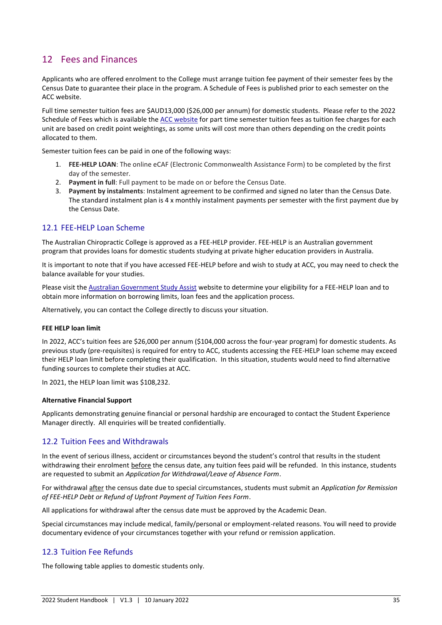# <span id="page-34-0"></span>12 Fees and Finances

Applicants who are offered enrolment to the College must arrange tuition fee payment of their semester fees by the Census Date to guarantee their place in the program. A Schedule of Fees is published prior to each semester on the ACC website.

Full time semester tuition fees are \$AUD13,000 (\$26,000 per annum) for domestic students. Please refer to the 2022 Schedule of Fees which is available the [ACC website](https://acc.sa.edu.au/) for part time semester tuition fees as tuition fee charges for each unit are based on credit point weightings, as some units will cost more than others depending on the credit points allocated to them.

Semester tuition fees can be paid in one of the following ways:

- 1. **FEE-HELP LOAN**: The online eCAF (Electronic Commonwealth Assistance Form) to be completed by the first day of the semester.
- 2. **Payment in full**: Full payment to be made on or before the Census Date.
- 3. **Payment by instalments**: Instalment agreement to be confirmed and signed no later than the Census Date. The standard instalment plan is 4 x monthly instalment payments per semester with the first payment due by the Census Date.

# <span id="page-34-1"></span>12.1 FEE-HELP Loan Scheme

The Australian Chiropractic College is approved as a FEE-HELP provider. FEE-HELP is an Australian government program that provides loans for domestic students studying at private higher education providers in Australia.

It is important to note that if you have accessed FEE-HELP before and wish to study at ACC, you may need to check the balance available for your studies.

Please visit th[e Australian Government Study Assist](https://www.studyassist.gov.au/help-loans/fee-help) website to determine your eligibility for a FEE-HELP loan and to obtain more information on borrowing limits, loan fees and the application process.

Alternatively, you can contact the College directly to discuss your situation.

#### **FEE HELP loan limit**

In 2022, ACC's tuition fees are \$26,000 per annum (\$104,000 across the four-year program) for domestic students. As previous study (pre-requisites) is required for entry to ACC, students accessing the FEE-HELP loan scheme may exceed their HELP loan limit before completing their qualification. In this situation, students would need to find alternative funding sources to complete their studies at ACC.

In 2021, the HELP loan limit was \$108,232.

#### **Alternative Financial Support**

Applicants demonstrating genuine financial or personal hardship are encouraged to contact the Student Experience Manager directly. All enquiries will be treated confidentially.

# <span id="page-34-2"></span>12.2 Tuition Fees and Withdrawals

In the event of serious illness, accident or circumstances beyond the student's control that results in the student withdrawing their enrolment before the census date, any tuition fees paid will be refunded. In this instance, students are requested to submit an *Application for Withdrawal/Leave of Absence Form*.

For withdrawal after the census date due to special circumstances, students must submit an *Application for Remission of FEE-HELP Debt or Refund of Upfront Payment of Tuition Fees Form*.

All applications for withdrawal after the census date must be approved by the Academic Dean.

Special circumstances may include medical, family/personal or employment-related reasons. You will need to provide documentary evidence of your circumstances together with your refund or remission application.

# <span id="page-34-3"></span>12.3 Tuition Fee Refunds

The following table applies to domestic students only.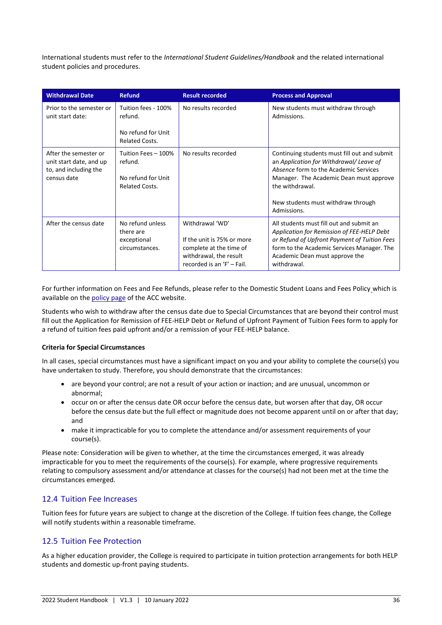International students must refer to the *International Student Guidelines/Handbook* and the related international student policies and procedures.

| <b>Withdrawal Date</b>                                                                   | <b>Refund</b>                                                                 | <b>Result recorded</b>                                                                                                           | <b>Process and Approval</b>                                                                                                                                                                                                                        |
|------------------------------------------------------------------------------------------|-------------------------------------------------------------------------------|----------------------------------------------------------------------------------------------------------------------------------|----------------------------------------------------------------------------------------------------------------------------------------------------------------------------------------------------------------------------------------------------|
| Prior to the semester or<br>unit start date:                                             | Tuition fees - 100%<br>refund.<br>No refund for Unit<br><b>Related Costs.</b> | No results recorded                                                                                                              | New students must withdraw through<br>Admissions.                                                                                                                                                                                                  |
| After the semester or<br>unit start date, and up<br>to, and including the<br>census date | Tuition Fees - 100%<br>refund.<br>No refund for Unit<br><b>Related Costs.</b> | No results recorded                                                                                                              | Continuing students must fill out and submit<br>an Application for Withdrawal/Leave of<br>Absence form to the Academic Services<br>Manager. The Academic Dean must approve<br>the withdrawal.<br>New students must withdraw through<br>Admissions. |
| After the census date                                                                    | No refund unless<br>there are<br>exceptional<br>circumstances.                | Withdrawal 'WD'<br>If the unit is 75% or more<br>complete at the time of<br>withdrawal, the result<br>recorded is an 'F' - Fail. | All students must fill out and submit an<br>Application for Remission of FEE-HELP Debt<br>or Refund of Upfront Payment of Tuition Fees<br>form to the Academic Services Manager. The<br>Academic Dean must approve the<br>withdrawal.              |

For further information on Fees and Fee Refunds, please refer to the Domestic Student Loans and Fees Policy which is available on th[e policy page](https://acc.sa.edu.au/policies/) of the ACC website.

Students who wish to withdraw after the census date due to Special Circumstances that are beyond their control must fill out the Application for Remission of FEE-HELP Debt or Refund of Upfront Payment of Tuition Fees form to apply for a refund of tuition fees paid upfront and/or a remission of your FEE-HELP balance.

#### **Criteria for Special Circumstances**

In all cases, special circumstances must have a significant impact on you and your ability to complete the course(s) you have undertaken to study. Therefore, you should demonstrate that the circumstances:

- are beyond your control; are not a result of your action or inaction; and are unusual, uncommon or abnormal;
- occur on or after the census date OR occur before the census date, but worsen after that day, OR occur before the census date but the full effect or magnitude does not become apparent until on or after that day; and
- make it impracticable for you to complete the attendance and/or assessment requirements of your course(s).

Please note: Consideration will be given to whether, at the time the circumstances emerged, it was already impracticable for you to meet the requirements of the course(s). For example, where progressive requirements relating to compulsory assessment and/or attendance at classes for the course(s) had not been met at the time the circumstances emerged.

# <span id="page-35-0"></span>12.4 Tuition Fee Increases

Tuition fees for future years are subject to change at the discretion of the College. If tuition fees change, the College will notify students within a reasonable timeframe.

# <span id="page-35-1"></span>12.5 Tuition Fee Protection

As a higher education provider, the College is required to participate in tuition protection arrangements for both HELP students and domestic up-front paying students.